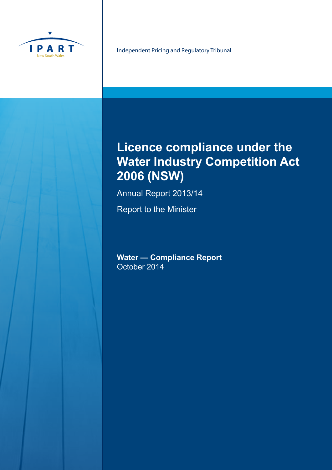

Independent Pricing and Regulatory Tribunal

# **Licence compliance under the Water Industry Competition Act 2006 (NSW)**

Annual Report 2013/14

Report to the Minister

**Water — Compliance Report** October 2014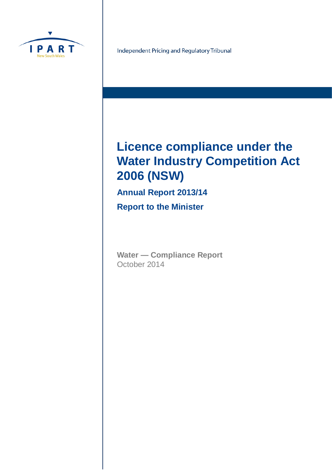

Independent Pricing and Regulatory Tribunal

# **Licence compliance under the Water Industry Competition Act 2006 (NSW)**

**Annual Report 2013/14 Report to the Minister**

**Water — Compliance Report** October 2014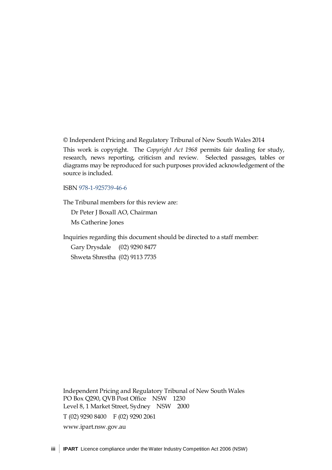© Independent Pricing and Regulatory Tribunal of New South Wales 2014

This work is copyright. The *Copyright Act 1968* permits fair dealing for study, research, news reporting, criticism and review. Selected passages, tables or diagrams may be reproduced for such purposes provided acknowledgement of the source is included.

ISBN 978-1-925739-46-6

The Tribunal members for this review are:

Dr Peter J Boxall AO, Chairman

Ms Catherine Jones

Inquiries regarding this document should be directed to a staff member:

Gary Drysdale (02) 9290 8477 Shweta Shrestha (02) 9113 7735

Independent Pricing and Regulatory Tribunal of New South Wales PO Box Q290, QVB Post Office NSW 1230 Level 8, 1 Market Street, Sydney NSW 2000 T (02) 9290 8400 F (02) 9290 2061 [www.ipart.nsw.gov.au](http://www.ipart.nsw.gov.au/)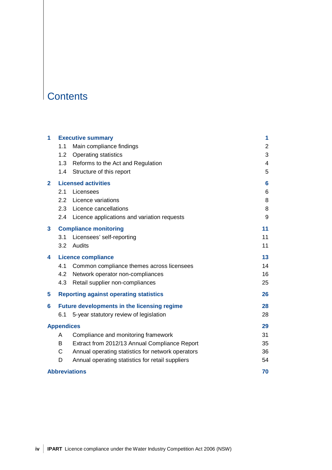## **Contents**

| 1            |                   | <b>Executive summary</b>                           | 1  |
|--------------|-------------------|----------------------------------------------------|----|
|              | 1.1               | Main compliance findings                           | 2  |
|              | 1.2               | <b>Operating statistics</b>                        | 3  |
|              | 1.3               | Reforms to the Act and Regulation                  | 4  |
|              | 1.4               | Structure of this report                           | 5  |
| $\mathbf{2}$ |                   | <b>Licensed activities</b>                         | 6  |
|              | 2.1               | Licensees                                          | 6  |
|              | 2.2               | Licence variations                                 | 8  |
|              | 2.3               | Licence cancellations                              | 8  |
|              | 2.4               | Licence applications and variation requests        | 9  |
| 3            |                   | <b>Compliance monitoring</b>                       | 11 |
|              | 3.1               | Licensees' self-reporting                          | 11 |
|              | 3.2               | Audits                                             | 11 |
| 4            |                   | <b>Licence compliance</b>                          | 13 |
|              | 4.1               | Common compliance themes across licensees          | 14 |
|              | 4.2               | Network operator non-compliances                   | 16 |
|              | 4.3               | Retail supplier non-compliances                    | 25 |
| 5            |                   | <b>Reporting against operating statistics</b>      | 26 |
| 6            |                   | <b>Future developments in the licensing regime</b> | 28 |
|              | 6.1               | 5-year statutory review of legislation             | 28 |
|              | <b>Appendices</b> |                                                    | 29 |
|              | A                 | Compliance and monitoring framework                | 31 |
|              | B                 | Extract from 2012/13 Annual Compliance Report      | 35 |
|              | C                 | Annual operating statistics for network operators  | 36 |
|              | D                 | Annual operating statistics for retail suppliers   | 54 |
|              |                   | <b>Abbreviations</b>                               | 70 |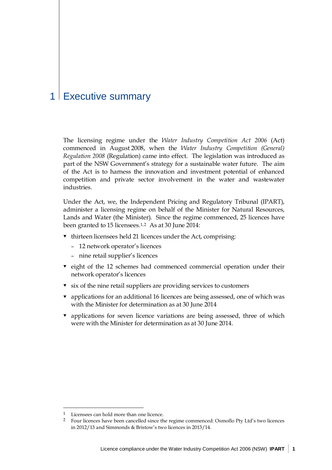## 1 Executive summary

The licensing regime under the *Water Industry Competition Act 2006* (Act) commenced in August 2008, when the *Water Industry Competition (General) Regulation 2008* (Regulation) came into effect. The legislation was introduced as part of the NSW Government's strategy for a sustainable water future. The aim of the Act is to harness the innovation and investment potential of enhanced competition and private sector involvement in the water and wastewater industries.

Under the Act, we, the Independent Pricing and Regulatory Tribunal (IPART), administer a licensing regime on behalf of the Minister for Natural Resources, Lands and Water (the Minister). Since the regime commenced, 25 licences have been granted to 15 licensees.[1,](#page-6-0)[2](#page-6-1) As at 30 June 2014:

- $\bullet$  thirteen licensees held 21 licences under the Act, comprising:
	- 12 network operator's licences
	- nine retail supplier's licences
- $\bullet$  eight of the 12 schemes had commenced commercial operation under their network operator's licences
- $\bullet$  six of the nine retail suppliers are providing services to customers
- applications for an additional 16 licences are being assessed, one of which was with the Minister for determination as at 30 June 2014
- applications for seven licence variations are being assessed, three of which were with the Minister for determination as at 30 June 2014.

<span id="page-6-0"></span><sup>1</sup> Licensees can hold more than one licence.

<span id="page-6-1"></span><sup>2</sup> Four licences have been cancelled since the regime commenced: Osmoflo Pty Ltd's two licences in 2012/13 and Simmonds & Bristow's two licences in 2013/14.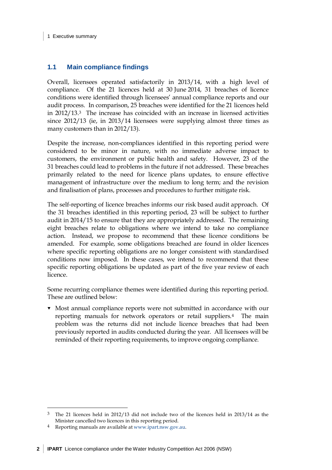#### 1 Executive summary

## **1.1 Main compliance findings**

Overall, licensees operated satisfactorily in 2013/14, with a high level of compliance. Of the 21 licences held at 30 June 2014, 31 breaches of licence conditions were identified through licensees' annual compliance reports and our audit process. In comparison, 25 breaches were identified for the 21 licences held in 2012/13.[3](#page-7-0) The increase has coincided with an increase in licensed activities since 2012/13 (ie, in 2013/14 licensees were supplying almost three times as many customers than in 2012/13).

Despite the increase, non-compliances identified in this reporting period were considered to be minor in nature, with no immediate adverse impact to customers, the environment or public health and safety. However, 23 of the 31 breaches could lead to problems in the future if not addressed. These breaches primarily related to the need for licence plans updates, to ensure effective management of infrastructure over the medium to long term; and the revision and finalisation of plans, processes and procedures to further mitigate risk.

The self-reporting of licence breaches informs our risk based audit approach. Of the 31 breaches identified in this reporting period, 23 will be subject to further audit in 2014/15 to ensure that they are appropriately addressed. The remaining eight breaches relate to obligations where we intend to take no compliance action. Instead, we propose to recommend that these licence conditions be amended. For example, some obligations breached are found in older licences where specific reporting obligations are no longer consistent with standardised conditions now imposed. In these cases, we intend to recommend that these specific reporting obligations be updated as part of the five year review of each licence.

Some recurring compliance themes were identified during this reporting period. These are outlined below:

 Most annual compliance reports were not submitted in accordance with our reporting manuals for network operators or retail suppliers.[4](#page-7-1) The main problem was the returns did not include licence breaches that had been previously reported in audits conducted during the year. All licensees will be reminded of their reporting requirements, to improve ongoing compliance.

<span id="page-7-0"></span><sup>3</sup> The 21 licences held in 2012/13 did not include two of the licences held in 2013/14 as the Minister cancelled two licences in this reporting period.  $\overline{a}$ 

<span id="page-7-1"></span><sup>4</sup> Reporting manuals are available a[t www.ipart.nsw.gov.au.](http://www.ipart.nsw.gov.au/)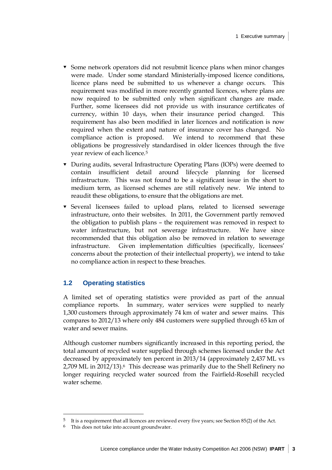- Some network operators did not resubmit licence plans when minor changes were made. Under some standard Ministerially-imposed licence conditions, licence plans need be submitted to us whenever a change occurs. This requirement was modified in more recently granted licences, where plans are now required to be submitted only when significant changes are made. Further, some licensees did not provide us with insurance certificates of currency, within 10 days, when their insurance period changed. This requirement has also been modified in later licences and notification is now required when the extent and nature of insurance cover has changed. No compliance action is proposed. We intend to recommend that these obligations be progressively standardised in older licences through the five year review of each licence.[5](#page-8-0)
- During audits, several Infrastructure Operating Plans (IOPs) were deemed to contain insufficient detail around lifecycle planning for licensed infrastructure. This was not found to be a significant issue in the short to medium term, as licensed schemes are still relatively new. We intend to reaudit these obligations, to ensure that the obligations are met.
- Several licensees failed to upload plans, related to licensed sewerage infrastructure, onto their websites. In 2011, the Government partly removed the obligation to publish plans – the requirement was removed in respect to water infrastructure, but not sewerage infrastructure. We have since recommended that this obligation also be removed in relation to sewerage infrastructure. Given implementation difficulties (specifically, licensees' concerns about the protection of their intellectual property), we intend to take no compliance action in respect to these breaches.

## **1.2 Operating statistics**

A limited set of operating statistics were provided as part of the annual compliance reports. In summary, water services were supplied to nearly 1,300 customers through approximately 74 km of water and sewer mains. This compares to 2012/13 where only 484 customers were supplied through 65 km of water and sewer mains.

Although customer numbers significantly increased in this reporting period, the total amount of recycled water supplied through schemes licensed under the Act decreased by approximately ten percent in 2013/14 (approximately 2,437 ML vs 2,709 ML in 2012/13).[6](#page-8-1) This decrease was primarily due to the Shell Refinery no longer requiring recycled water sourced from the Fairfield-Rosehill recycled water scheme.

<span id="page-8-0"></span><sup>5</sup> It is a requirement that all licences are reviewed every five years; see Section 85(2) of the Act.

<span id="page-8-1"></span><sup>6</sup> This does not take into account groundwater.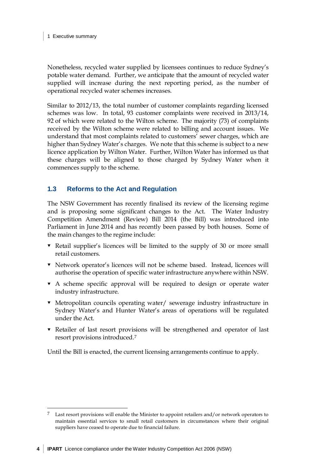Nonetheless, recycled water supplied by licensees continues to reduce Sydney's potable water demand. Further, we anticipate that the amount of recycled water supplied will increase during the next reporting period, as the number of operational recycled water schemes increases.

Similar to 2012/13, the total number of customer complaints regarding licensed schemes was low. In total, 93 customer complaints were received in 2013/14, 92 of which were related to the Wilton scheme. The majority (73) of complaints received by the Wilton scheme were related to billing and account issues. We understand that most complaints related to customers' sewer charges, which are higher than Sydney Water's charges. We note that this scheme is subject to a new licence application by Wilton Water. Further, Wilton Water has informed us that these charges will be aligned to those charged by Sydney Water when it commences supply to the scheme.

## **1.3 Reforms to the Act and Regulation**

The NSW Government has recently finalised its review of the licensing regime and is proposing some significant changes to the Act. The Water Industry Competition Amendment (Review) Bill 2014 (the Bill) was introduced into Parliament in June 2014 and has recently been passed by both houses. Some of the main changes to the regime include:

- Retail supplier's licences will be limited to the supply of 30 or more small retail customers.
- Network operator's licences will not be scheme based. Instead, licences will authorise the operation of specific water infrastructure anywhere within NSW.
- A scheme specific approval will be required to design or operate water industry infrastructure.
- Metropolitan councils operating water/ sewerage industry infrastructure in Sydney Water's and Hunter Water's areas of operations will be regulated under the Act.
- Retailer of last resort provisions will be strengthened and operator of last resort provisions introduced.[7](#page-9-0)

Until the Bill is enacted, the current licensing arrangements continue to apply.

<span id="page-9-0"></span>Last resort provisions will enable the Minister to appoint retailers and/or network operators to maintain essential services to small retail customers in circumstances where their original suppliers have ceased to operate due to financial failure.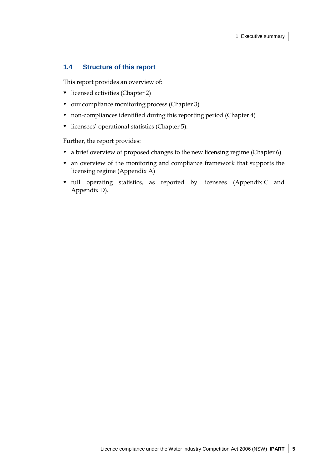## **1.4 Structure of this report**

This report provides an overview of:

- $\bullet$  licensed activities (Chapter [2\)](#page-11-0)
- $\bullet$  our compliance monitoring process (Chapter [3\)](#page-16-0)
- non-compliances identified during this reporting period (Chapter [4\)](#page-18-0)
- $\bullet$  licensees' operational statistics (Chapter [5\)](#page-31-0).

Further, the report provides:

- $\bullet$  a brief overview of proposed changes to the new licensing regime (Chapter [6\)](#page-33-0)
- an overview of the monitoring and compliance framework that supports the licensing regime (Appendix [A\)](#page-36-0)
- full operating statistics, as reported by licensees (Appendix [C](#page-41-0) and Appendix [D\)](#page-59-0).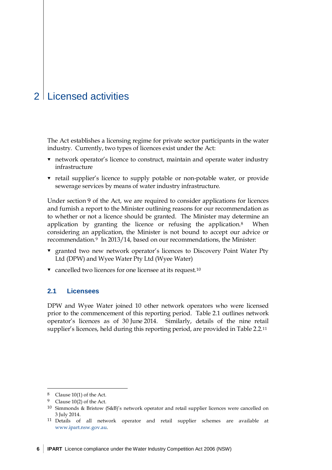## <span id="page-11-0"></span>2 Licensed activities

The Act establishes a licensing regime for private sector participants in the water industry. Currently, two types of licences exist under the Act:

- network operator's licence to construct, maintain and operate water industry infrastructure
- retail supplier's licence to supply potable or non-potable water, or provide sewerage services by means of water industry infrastructure.

Under section 9 of the Act, we are required to consider applications for licences and furnish a report to the Minister outlining reasons for our recommendation as to whether or not a licence should be granted. The Minister may determine an application by granting the licence or refusing the application.[8](#page-11-1) When considering an application, the Minister is not bound to accept our advice or recommendation.[9](#page-11-2) In 2013/14, based on our recommendations, the Minister:

- granted two new network operator's licences to Discovery Point Water Pty Ltd (DPW) and Wyee Water Pty Ltd (Wyee Water)
- $\bullet$  cancelled two licences for one licensee at its request.<sup>[10](#page-11-3)</sup>

## **2.1 Licensees**

DPW and Wyee Water joined 10 other network operators who were licensed prior to the commencement of this reporting period. [Table 2.1](#page-12-0) outlines network operator's licences as of 30 June 2014. Similarly, details of the nine retail supplier's licences, held during this reporting period, are provided in [Table 2.2.](#page-12-1)[11](#page-11-4)

<span id="page-11-1"></span><sup>&</sup>lt;sup>8</sup> Clause 10(1) of the Act.

<span id="page-11-2"></span><sup>&</sup>lt;sup>9</sup> Clause 10(2) of the Act.

<span id="page-11-3"></span><sup>10</sup> Simmonds & Bristow (S&B)'s network operator and retail supplier licences were cancelled on 3 July 2014.

<span id="page-11-4"></span><sup>11</sup> Details of all network operator and retail supplier schemes are available at [www.ipart.nsw.gov.au.](http://www.ipart.nsw.gov.au/)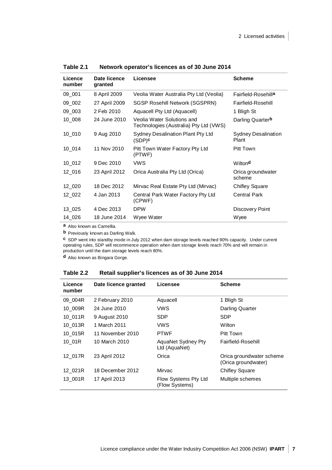| Licence<br>number | Date licence<br>granted | Licensee                                                             | <b>Scheme</b>                       |
|-------------------|-------------------------|----------------------------------------------------------------------|-------------------------------------|
| 09_001            | 8 April 2009            | Veolia Water Australia Pty Ltd (Veolia)                              | Fairfield-Rosehilla                 |
| 09_002            | 27 April 2009           | <b>SGSP Rosehill Network (SGSPRN)</b>                                | <b>Fairfield-Rosehill</b>           |
| 09 003            | 2 Feb 2010              | Aquacell Pty Ltd (Aquacell)                                          | 1 Bligh St                          |
| 10 008            | 24 June 2010            | Veolia Water Solutions and<br>Technologies (Australia) Pty Ltd (VWS) | Darling Quarterb                    |
| $10_010$          | 9 Aug 2010              | Sydney Desalination Plant Pty Ltd<br>$(SDP)$ c                       | <b>Sydney Desalination</b><br>Plant |
| 10 014            | 11 Nov 2010             | Pitt Town Water Factory Pty Ltd<br>(PTWF)                            | Pitt Town                           |
| 10 012            | 9 Dec 2010              | <b>VWS</b>                                                           | Wiltond                             |
| 12 016            | 23 April 2012           | Orica Australia Pty Ltd (Orica)                                      | Orica groundwater<br>scheme         |
| 12_020            | 18 Dec 2012             | Mirvac Real Estate Pty Ltd (Mirvac)                                  | Chifley Square                      |
| 12 022            | 4 Jan 2013              | Central Park Water Factory Pty Ltd<br>(CPWF)                         | <b>Central Park</b>                 |
| 13 025            | 4 Dec 2013              | <b>DPW</b>                                                           | Discovery Point                     |
| 14 026            | 18 June 2014            | Wyee Water                                                           | Wyee                                |

<span id="page-12-0"></span>**Table 2.1 Network operator's licences as of 30 June 2014**

**a** Also known as Camellia.

**b** Previously known as Darling Walk.

**c** SDP went into standby mode in July 2012 when dam storage levels reached 90% capacity. Under current operating rules, SDP will recommence operation when dam storage levels reach 70% and will remain in production until the dam storage levels reach 80%.

<span id="page-12-1"></span>**d** Also known as Bingara Gorge.

| Licence<br>number | Date licence granted | Licensee                               | <b>Scheme</b>                                   |
|-------------------|----------------------|----------------------------------------|-------------------------------------------------|
| 09 004R           | 2 February 2010      | Aquacell                               | 1 Bligh St                                      |
| 10 009R           | 24 June 2010         | <b>VWS</b>                             | Darling Quarter                                 |
| 10_011R           | 9 August 2010        | SDP.                                   | <b>SDP</b>                                      |
| 10 013R           | 1 March 2011         | <b>VWS</b>                             | Wilton                                          |
| 10 015R           | 11 November 2010     | <b>PTWF</b>                            | Pitt Town                                       |
| 10_01R            | 10 March 2010        | AquaNet Sydney Pty<br>Ltd (AquaNet)    | Fairfield-Rosehill                              |
| 12_017R           | 23 April 2012        | Orica                                  | Orica groundwater scheme<br>(Orica groundwater) |
| 12_021R           | 18 December 2012     | Mirvac                                 | <b>Chifley Square</b>                           |
| 13 001R           | 17 April 2013        | Flow Systems Pty Ltd<br>(Flow Systems) | Multiple schemes                                |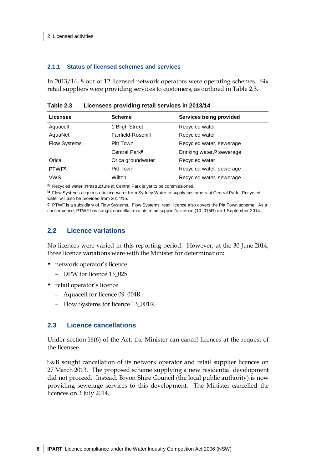#### **2.1.1 Status of licensed schemes and services**

In 2013/14, 8 out of 12 licensed network operators were operating schemes. Six retail suppliers were providing services to customers, as outlined in [Table 2.3.](#page-13-0)

| Licensee            | <b>Scheme</b>             | Services being provided    |
|---------------------|---------------------------|----------------------------|
| Aquacell            | 1 Bligh Street            | Recycled water             |
| AquaNet             | Fairfield-Rosehill        | Recycled water             |
| <b>Flow Systems</b> | Pitt Town                 | Recycled water, sewerage   |
|                     | Central Park <sup>a</sup> | Drinking water, b sewerage |
| Orica               | Orica groundwater         | Recycled water             |
| <b>PTWFC</b>        | Pitt Town                 | Recycled water, sewerage   |
| <b>VWS</b>          | Wilton                    | Recycled water, sewerage   |

<span id="page-13-0"></span>**Table 2.3 Licensees providing retail services in 2013/14**

**a** Recycled water infrastructure at Central Park is yet to be commissioned.

**b** Flow Systems acquires drinking water from Sydney Water to supply customers at Central Park. Recycled water will also be provided from 2014/15.

**c** PTWF is a subsidiary of Flow Systems. Flow Systems' retail licence also covers the Pitt Town scheme. As a consequence, PTWF has sought cancellation of its retail supplier's licence (10\_015R) on 1 September 2014.

## **2.2 Licence variations**

No licences were varied in this reporting period. However, at the 30 June 2014, three licence variations were with the Minister for determination:

- network operator's licence
	- DPW for licence 13\_025
- ▼ retail operator's licence
	- Aquacell for licence 09\_004R
	- Flow Systems for licence 13\_001R.

## **2.3 Licence cancellations**

Under section 16(6) of the Act, the Minister can cancel licences at the request of the licensee.

S&B sought cancellation of its network operator and retail supplier licences on 27 March 2013. The proposed scheme supplying a new residential development did not proceed. Instead, Bryon Shire Council (the local public authority) is now providing sewerage services to this development. The Minister cancelled the licences on 3 July 2014.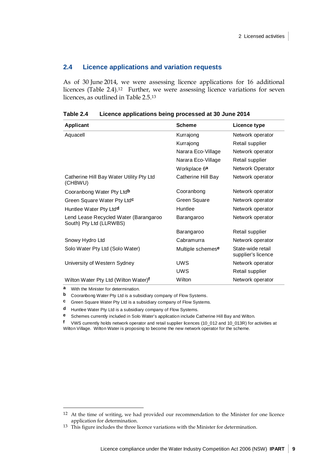### **2.4 Licence applications and variation requests**

As of 30 June 2014, we were assessing licence applications for 16 additional licences (Table 2.4).[12](#page-14-0) Further, we were assessing licence variations for seven licences, as outlined in Table 2.5[.13](#page-14-1)

| Applicant                                                        | <b>Scheme</b>            | Licence type                            |
|------------------------------------------------------------------|--------------------------|-----------------------------------------|
| Aquacell                                                         | Kurrajong                | Network operator                        |
|                                                                  | Kurrajong                | Retail supplier                         |
|                                                                  | Narara Eco-Village       | Network operator                        |
|                                                                  | Narara Eco-Village       | Retail supplier                         |
|                                                                  | Workplace 6 <sup>a</sup> | <b>Network Operator</b>                 |
| Catherine Hill Bay Water Utility Pty Ltd<br>(CHBWU)              | Catherine Hill Bay       | Network operator                        |
| Cooranbong Water Pty Ltdb                                        | Cooranbong               | Network operator                        |
| Green Square Water Pty Ltdc                                      | Green Square             | Network operator                        |
| Huntlee Water Pty Ltd <sup>d</sup>                               | Huntlee                  | Network operator                        |
| Lend Lease Recycled Water (Barangaroo<br>South) Pty Ltd (LLRWBS) | Barangaroo               | Network operator                        |
|                                                                  | Barangaroo               | Retail supplier                         |
| Snowy Hydro Ltd                                                  | Cabramurra               | Network operator                        |
| Solo Water Pty Ltd (Solo Water)                                  | Multiple schemese        | State-wide retail<br>supplier's licence |
| University of Western Sydney                                     | <b>UWS</b>               | Network operator                        |
|                                                                  | <b>UWS</b>               | Retail supplier                         |
| Wilton Water Pty Ltd (Wilton Water)f                             | Wilton                   | Network operator                        |

**Table 2.4 Licence applications being processed at 30 June 2014**

**a** With the Minister for determination.

 $\ddot{\phantom{a}}$ 

**b** Cooranbong Water Pty Ltd is a subsidiary company of Flow Systems.

**c** Green Square Water Pty Ltd is a subsidiary company of Flow Systems.

**d** Huntlee Water Pty Ltd is a subsidiary company of Flow Systems.

**e** Schemes currently included in Solo Water's application include Catherine Hill Bay and Wilton.

**f** VWS currently holds network operator and retail supplier licences (10\_012 and 10\_013R) for activities at Wilton Village. Wilton Water is proposing to become the new network operator for the scheme.

<span id="page-14-0"></span><sup>&</sup>lt;sup>12</sup> At the time of writing, we had provided our recommendation to the Minister for one licence application for determination.

<span id="page-14-1"></span><sup>13</sup> This figure includes the three licence variations with the Minister for determination.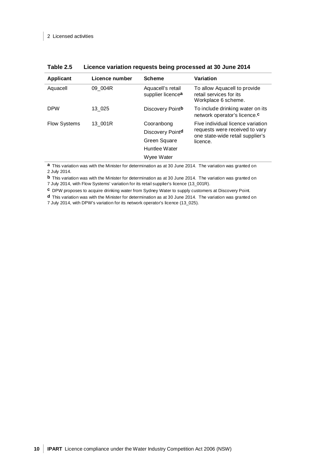| Applicant           | Licence number | <b>Scheme</b>                          | Variation                                                                      |
|---------------------|----------------|----------------------------------------|--------------------------------------------------------------------------------|
| Aquacell            | 09 004R        | Aquacell's retail<br>supplier licencea | To allow Aquacell to provide<br>retail services for its<br>Workplace 6 scheme. |
| <b>DPW</b>          | 13 025         | Discovery Pointb                       | To include drinking water on its<br>network operator's licence. <sup>c</sup>   |
| <b>Flow Systems</b> | 13 001R        | Cooranbong                             | Five individual licence variation                                              |
|                     |                | Discovery Pointd                       | requests were received to vary<br>one state-wide retail supplier's             |
|                     |                | Green Square                           | licence.                                                                       |
|                     |                | Huntlee Water                          |                                                                                |
|                     |                | Wyee Water                             |                                                                                |

**a** This variation was with the Minister for determination as at 30 June 2014. The variation was granted on 2 July 2014.

**b** This variation was with the Minister for determination as at 30 June 2014. The variation was granted on

7 July 2014, with Flow Systems' variation for its retail supplier's licence (13\_001R).

**c** DPW proposes to acquire drinking water from Sydney Water to supply customers at Discovery Point.

**d** This variation was with the Minister for determination as at 30 June 2014. The variation was granted on

7 July 2014, with DPW's variation for its network operator's licence (13\_025).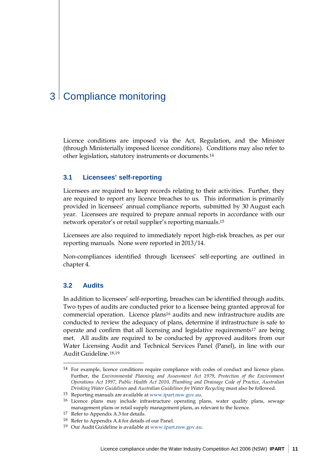## <span id="page-16-0"></span>3 Compliance monitoring

Licence conditions are imposed via the Act, Regulation, and the Minister (through Ministerially imposed licence conditions). Conditions may also refer to other legislation, statutory instruments or documents.[14](#page-16-1)

#### <span id="page-16-7"></span>**3.1 Licensees' self-reporting**

Licensees are required to keep records relating to their activities. Further, they are required to report any licence breaches to us. This information is primarily provided in licensees' annual compliance reports, submitted by 30 August each year. Licensees are required to prepare annual reports in accordance with our network operator's or retail supplier's reporting manuals.[15](#page-16-2)

Licensees are also required to immediately report high-risk breaches, as per our reporting manuals. None were reported in 2013/14.

Non-compliances identified through licensees' self-reporting are outlined in chapte[r 4.](#page-18-0)

## **3.2 Audits**

 $\ddot{\phantom{a}}$ 

In addition to licensees' self-reporting, breaches can be identified through audits. Two types of audits are conducted prior to a licensee being granted approval for commercial operation. Licence plan[s16](#page-16-3) audits and new infrastructure audits are conducted to review the adequacy of plans, determine if infrastructure is safe to operate and confirm that all licensing and legislative requirement[s17](#page-16-4) are being met. All audits are required to be conducted by approved auditors from our Water Licensing Audit and Technical Services Panel (Panel), in line with our Audit Guideline.[18](#page-16-5),[19](#page-16-6)

<span id="page-16-1"></span><sup>14</sup> For example, licence conditions require compliance with codes of conduct and licence plans. Further, the *Environmental Planning and Assessment Act 1979*, *Protection of the Environment Operations Act 1997*, *Public Health Act 2010*, *Plumbing and Drainage Code of Practice*, *Australian Drinking Water Guidelines* and *Australian Guidelines for Water Recycling* must also be followed.

<sup>15</sup> Reporting manuals are available a[t www.ipart.nsw.gov.au.](http://www.ipart.nsw.gov.au/)

<span id="page-16-3"></span><span id="page-16-2"></span><sup>16</sup> Licence plans may include infrastructure operating plans, water quality plans, sewage management plans or retail supply management plans, as relevant to the licence.

<span id="page-16-4"></span><sup>17</sup> Refer to Appendix [A.3](#page-38-0) for details.

<span id="page-16-5"></span><sup>18</sup> Refer to Appendix [A.4](#page-38-1) for details of our Panel.

<span id="page-16-6"></span><sup>19</sup> Our Audit Guideline is available at [www.ipart.nsw.gov.au.](http://www.ipart.nsw.gov.au/)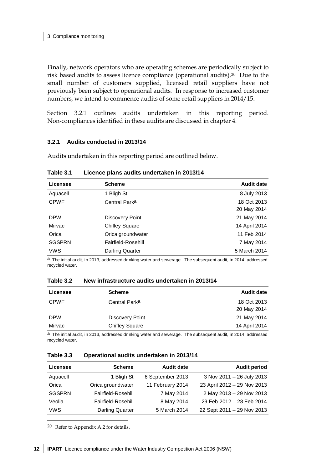Finally, network operators who are operating schemes are periodically subject to risk based audits to assess licence compliance (operational audits).[20](#page-17-1) Due to the small number of customers supplied, licensed retail suppliers have not previously been subject to operational audits. In response to increased customer numbers, we intend to commence audits of some retail suppliers in 2014/15.

Section [3.2.1](#page-17-0) outlines audits undertaken in this reporting period. Non-compliances identified in these audits are discussed in chapte[r 4.](#page-18-0)

#### <span id="page-17-0"></span>**3.2.1 Audits conducted in 2013/14**

Audits undertaken in this reporting period are outlined below.

| Licensee                   | <b>Scheme</b>             | <b>Audit date</b>          |
|----------------------------|---------------------------|----------------------------|
| Aquacell                   | 1 Bligh St                | 8 July 2013                |
| <b>CPWF</b>                | Central Park <sup>a</sup> | 18 Oct 2013<br>20 May 2014 |
| <b>DPW</b>                 | Discovery Point           | 21 May 2014                |
| Mirvac                     | <b>Chifley Square</b>     | 14 April 2014              |
| Orica<br>Orica groundwater |                           | 11 Feb 2014                |
| <b>SGSPRN</b>              | Fairfield-Rosehill        | 7 May 2014                 |
| <b>VWS</b>                 | Darling Quarter           | 5 March 2014               |

**Table 3.1 Licence plans audits undertaken in 2013/14**

**a** The initial audit, in 2013, addressed drinking water and sewerage. The subsequent audit, in 2014, addressed recycled water.

| Licensee    | <b>Scheme</b>             | <b>Audit date</b> |
|-------------|---------------------------|-------------------|
| <b>CPWF</b> | Central Park <sup>a</sup> | 18 Oct 2013       |
|             |                           | 20 May 2014       |
| <b>DPW</b>  | Discovery Point           | 21 May 2014       |
| Mirvac      | <b>Chifley Square</b>     | 14 April 2014     |

**a** The initial audit, in 2013, addressed drinking water and sewerage. The subsequent audit, in 2014, addressed recycled water.

#### **Table 3.3 Operational audits undertaken in 2013/14**

| Licensee      | <b>Scheme</b>          | <b>Audit date</b> | <b>Audit period</b>         |
|---------------|------------------------|-------------------|-----------------------------|
| Aquacell      | 1 Bligh St             | 6 September 2013  | 3 Nov 2011 - 26 July 2013   |
| Orica         | Orica groundwater      | 11 February 2014  | 23 April 2012 - 29 Nov 2013 |
| <b>SGSPRN</b> | Fairfield-Rosehill     | 7 May 2014        | 2 May 2013 - 29 Nov 2013    |
| Veolia        | Fairfield-Rosehill     | 8 May 2014        | 29 Feb 2012 - 28 Feb 2014   |
| <b>VWS</b>    | <b>Darling Quarter</b> | 5 March 2014      | 22 Sept 2011 - 29 Nov 2013  |

<span id="page-17-1"></span>20 Refer to Appendix [A.2](#page-38-2) for details.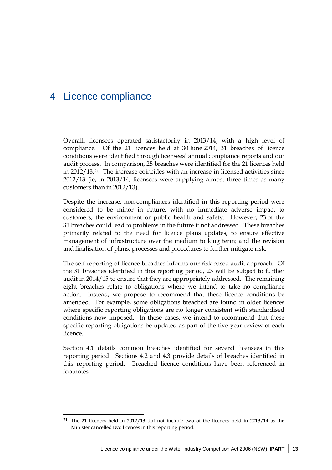## <span id="page-18-0"></span>4 Licence compliance

 $\overline{a}$ 

Overall, licensees operated satisfactorily in 2013/14, with a high level of compliance. Of the 21 licences held at 30 June 2014, 31 breaches of licence conditions were identified through licensees' annual compliance reports and our audit process. In comparison, 25 breaches were identified for the 21 licences held in 2012/13.[21](#page-18-1) The increase coincides with an increase in licensed activities since 2012/13 (ie, in 2013/14, licensees were supplying almost three times as many customers than in 2012/13).

Despite the increase, non-compliances identified in this reporting period were considered to be minor in nature, with no immediate adverse impact to customers, the environment or public health and safety. However, 23 of the 31 breaches could lead to problems in the future if not addressed. These breaches primarily related to the need for licence plans updates, to ensure effective management of infrastructure over the medium to long term; and the revision and finalisation of plans, processes and procedures to further mitigate risk.

The self-reporting of licence breaches informs our risk based audit approach. Of the 31 breaches identified in this reporting period, 23 will be subject to further audit in 2014/15 to ensure that they are appropriately addressed. The remaining eight breaches relate to obligations where we intend to take no compliance action. Instead, we propose to recommend that these licence conditions be amended. For example, some obligations breached are found in older licences where specific reporting obligations are no longer consistent with standardised conditions now imposed. In these cases, we intend to recommend that these specific reporting obligations be updated as part of the five year review of each licence.

Section [4.1](#page-19-0) details common breaches identified for several licensees in this reporting period. Sections [4.2](#page-21-0) and [4.3](#page-30-0) provide details of breaches identified in this reporting period. Breached licence conditions have been referenced in footnotes.

<span id="page-18-1"></span><sup>21</sup> The 21 licences held in 2012/13 did not include two of the licences held in 2013/14 as the Minister cancelled two licences in this reporting period.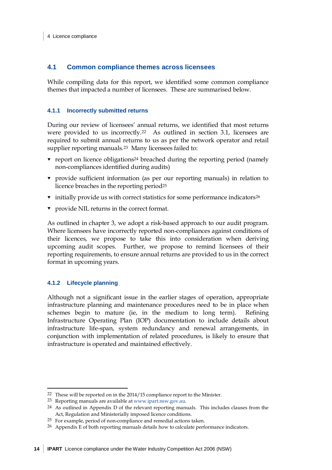### <span id="page-19-0"></span>**4.1 Common compliance themes across licensees**

While compiling data for this report, we identified some common compliance themes that impacted a number of licensees. These are summarised below.

#### **4.1.1 Incorrectly submitted returns**

During our review of licensees' annual returns, we identified that most returns were provided to us incorrectly[.22](#page-19-1) As outlined in section [3.1,](#page-16-7) licensees are required to submit annual returns to us as per the network operator and retail supplier reporting manuals.[23](#page-19-2) Many licensees failed to:

- $\bullet$  report on licence obligations<sup>24</sup> breached during the reporting period (namely non-compliances identified during audits)
- provide sufficient information (as per our reporting manuals) in relation to licence breaches in the reporting period<sup>[25](#page-19-4)</sup>
- **v** initially provide us with correct statistics for some performance indicators<sup>[26](#page-19-5)</sup>
- provide NIL returns in the correct format.

As outlined in chapter [3,](#page-16-0) we adopt a risk-based approach to our audit program. Where licensees have incorrectly reported non-compliances against conditions of their licences, we propose to take this into consideration when deriving upcoming audit scopes. Further, we propose to remind licensees of their reporting requirements, to ensure annual returns are provided to us in the correct format in upcoming years.

#### **4.1.2 Lifecycle planning**

 $\ddot{\phantom{a}}$ 

Although not a significant issue in the earlier stages of operation, appropriate infrastructure planning and maintenance procedures need to be in place when schemes begin to mature (ie, in the medium to long term). Refining Infrastructure Operating Plan (IOP) documentation to include details about infrastructure life-span, system redundancy and renewal arrangements, in conjunction with implementation of related procedures, is likely to ensure that infrastructure is operated and maintained effectively.

<span id="page-19-1"></span><sup>22</sup> These will be reported on in the 2014/15 compliance report to the Minister.

<sup>23</sup> Reporting manuals are available a[t www.ipart.nsw.gov.au.](http://www.ipart.nsw.gov.au/)

<span id="page-19-3"></span><span id="page-19-2"></span><sup>24</sup> As outlined in Appendix D of the relevant reporting manuals. This includes clauses from the Act, Regulation and Ministerially imposed licence conditions.

<span id="page-19-4"></span><sup>25</sup> For example, period of non-compliance and remedial actions taken.

<span id="page-19-5"></span><sup>&</sup>lt;sup>26</sup> Appendix E of both reporting manuals details how to calculate performance indicators.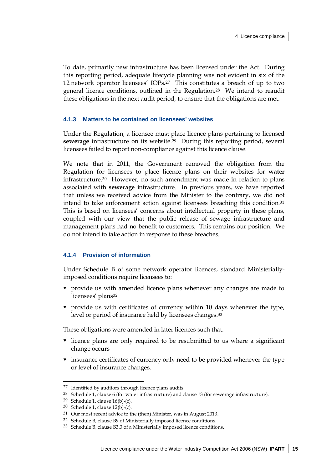To date, primarily new infrastructure has been licensed under the Act. During this reporting period, adequate lifecycle planning was not evident in six of the 12 network operator licensees' IOPs.[27](#page-20-0) This constitutes a breach of up to two general licence conditions, outlined in the Regulation.[28](#page-20-1) We intend to reaudit these obligations in the next audit period, to ensure that the obligations are met.

#### <span id="page-20-8"></span>**4.1.3 Matters to be contained on licensees' websites**

Under the Regulation, a licensee must place licence plans pertaining to licensed **sewerage** infrastructure on its website.[29](#page-20-2) During this reporting period, several licensees failed to report non-compliance against this licence clause.

We note that in 2011, the Government removed the obligation from the Regulation for licensees to place licence plans on their websites for **water** infrastructure.[30](#page-20-3) However, no such amendment was made in relation to plans associated with **sewerage** infrastructure. In previous years, we have reported that unless we received advice from the Minister to the contrary, we did not intend to take enforcement action against licensees breaching this condition[.31](#page-20-4) This is based on licensees' concerns about intellectual property in these plans, coupled with our view that the public release of sewage infrastructure and management plans had no benefit to customers. This remains our position. We do not intend to take action in response to these breaches.

#### <span id="page-20-7"></span>**4.1.4 Provision of information**

Under Schedule B of some network operator licences, standard Ministeriallyimposed conditions require licensees to:

- provide us with amended licence plans whenever any changes are made to licensees' plans<sup>[32](#page-20-5)</sup>
- provide us with certificates of currency within 10 days whenever the type, level or period of insurance held by licensees changes.[33](#page-20-6)

These obligations were amended in later licences such that:

- licence plans are only required to be resubmitted to us where a significant change occurs
- insurance certificates of currency only need to be provided whenever the type or level of insurance changes.

<span id="page-20-0"></span><sup>27</sup> Identified by auditors through licence plans audits.

<span id="page-20-1"></span><sup>28</sup> Schedule 1, clause 6 (for water infrastructure) and clause 13 (for sewerage infrastructure).

<span id="page-20-2"></span><sup>29</sup> Schedule 1, clause 16(b)-(c).

<sup>30</sup> Schedule 1, clause 12(b)-(c).

<span id="page-20-4"></span><span id="page-20-3"></span><sup>31</sup> Our most recent advice to the (then) Minister, was in August 2013.

<span id="page-20-5"></span><sup>32</sup> Schedule B, clause B9 of Ministerially imposed licence conditions.

<span id="page-20-6"></span><sup>33</sup> Schedule B, clause B3.3 of a Ministerially imposed licence conditions.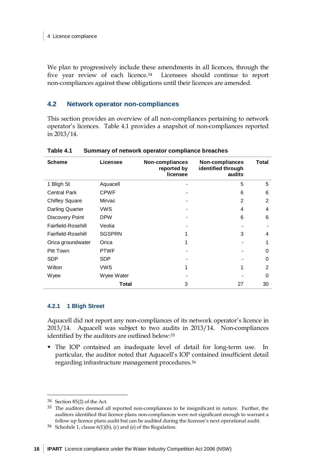We plan to progressively include these amendments in all licences, through the five year review of each licence.[34](#page-21-2) Licensees should continue to report non-compliances against these obligations until their licences are amended.

## <span id="page-21-0"></span>**4.2 Network operator non-compliances**

This section provides an overview of all non-compliances pertaining to network operator's licences. [Table 4.1](#page-21-1) provides a snapshot of non-compliances reported in 2013/14.

| <b>Scheme</b>          | Licensee      | Non-compliances<br>reported by<br>licensee | Non-compliances<br>identified through<br>audits | Total         |
|------------------------|---------------|--------------------------------------------|-------------------------------------------------|---------------|
| 1 Bligh St             | Aquacell      |                                            | 5                                               | 5             |
| <b>Central Park</b>    | <b>CPWF</b>   |                                            | 6                                               | 6             |
| <b>Chifley Square</b>  | Mirvac        |                                            | $\mathfrak{p}$                                  | $\mathcal{P}$ |
| <b>Darling Quarter</b> | <b>VWS</b>    |                                            | 4                                               | 4             |
| Discovery Point        | <b>DPW</b>    |                                            | 6                                               | 6             |
| Fairfield-Rosehill     | Veolia        |                                            |                                                 |               |
| Fairfield-Rosehill     | <b>SGSPRN</b> |                                            | 3                                               | 4             |
| Orica groundwater      | Orica         |                                            |                                                 |               |
| Pitt Town              | <b>PTWF</b>   |                                            |                                                 | 0             |
| <b>SDP</b>             | SDP.          |                                            |                                                 | 0             |
| Wilton                 | <b>VWS</b>    | 1                                          | 1                                               | 2             |
| Wyee                   | Wyee Water    |                                            |                                                 | 0             |
|                        | Total         | 3                                          | 27                                              | 30            |

<span id="page-21-1"></span>**Table 4.1 Summary of network operator compliance breaches**

#### **4.2.1 1 Bligh Street**

Aquacell did not report any non-compliances of its network operator's licence in 2013/14. Aquacell was subject to two audits in 2013/14. Non-compliances identified by the auditors are outlined below:[35](#page-21-3)

 The IOP contained an inadequate level of detail for long-term use. In particular, the auditor noted that Aquacell's IOP contained insufficient detail regarding infrastructure management procedures.[36](#page-21-4)

<span id="page-21-2"></span><sup>34</sup> Section 85(2) of the Act.

<span id="page-21-3"></span><sup>&</sup>lt;sup>35</sup> The auditors deemed all reported non-compliances to be insignificant in nature. Further, the auditors identified that licence plans non-compliances were not significant enough to warrant a follow up licence plans audit but can be audited during the licensee's next operational audit.

<span id="page-21-4"></span><sup>&</sup>lt;sup>36</sup> Schedule 1, clause  $6(1)(b)$ , (c) and (e) of the Regulation.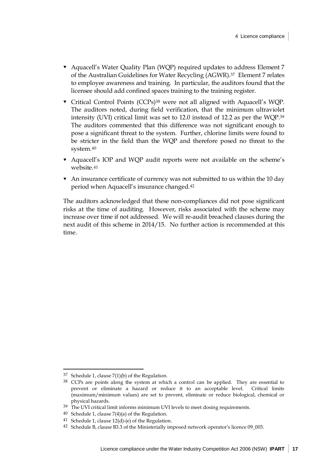- Aquacell's Water Quality Plan (WQP) required updates to address Element 7 of the Australian Guidelines for Water Recycling (AGWR).[37](#page-22-0) Element 7 relates to employee awareness and training. In particular, the auditors found that the licensee should add confined spaces training to the training register.
- Critical Control Points (CCPs[\)38](#page-22-1) were not all aligned with Aquacell's WQP. The auditors noted, during field verification, that the minimum ultraviolet intensity (UVI) critical limit was set to 12.0 instead of 12.2 as per the WQP[.39](#page-22-2) The auditors commented that this difference was not significant enough to pose a significant threat to the system. Further, chlorine limits were found to be stricter in the field than the WQP and therefore posed no threat to the system.[40](#page-22-3)
- Aquacell's IOP and WQP audit reports were not available on the scheme's website.[41](#page-22-4)
- An insurance certificate of currency was not submitted to us within the 10 day period when Aquacell's insurance changed.[42](#page-22-5)

The auditors acknowledged that these non-compliances did not pose significant risks at the time of auditing. However, risks associated with the scheme may increase over time if not addressed. We will re-audit breached clauses during the next audit of this scheme in 2014/15. No further action is recommended at this time.

<span id="page-22-0"></span><sup>37</sup> Schedule 1, clause 7(1)(b) of the Regulation.

<span id="page-22-1"></span><sup>38</sup> CCPs are points along the system at which a control can be applied. They are essential to prevent or eliminate a hazard or reduce it to an acceptable level. Critical limits (maximum/minimum values) are set to prevent, eliminate or reduce biological, chemical or physical hazards.

<span id="page-22-2"></span><sup>&</sup>lt;sup>39</sup> The UVI critical limit informs minimum UVI levels to meet dosing requirements.

<span id="page-22-3"></span> $40$  Schedule 1, clause 7(4)(a) of the Regulation.

<span id="page-22-4"></span><sup>41</sup> Schedule 1, clause 12(d)-(e) of the Regulation.

<span id="page-22-5"></span><sup>42</sup> Schedule B, clause B3.3 of the Ministerially imposed network operator's licence 09\_003.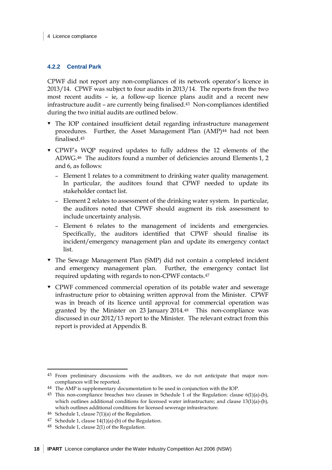## **4.2.2 Central Park**

CPWF did not report any non-compliances of its network operator's licence in 2013/14. CPWF was subject to four audits in 2013/14. The reports from the two most recent audits – ie, a follow-up licence plans audit and a recent new infrastructure audit – are currently being finalised.[43](#page-23-0) Non-compliances identified during the two initial audits are outlined below.

- The IOP contained insufficient detail regarding infrastructure management procedures. Further, the Asset Management Plan (AMP)<sup>[44](#page-23-1)</sup> had not been finalised.[45](#page-23-2)
- CPWF's WQP required updates to fully address the 12 elements of the ADWG.[46](#page-23-3) The auditors found a number of deficiencies around Elements 1, 2 and 6, as follows:
	- Element 1 relates to a commitment to drinking water quality management. In particular, the auditors found that CPWF needed to update its stakeholder contact list.
	- Element 2 relates to assessment of the drinking water system. In particular, the auditors noted that CPWF should augment its risk assessment to include uncertainty analysis.
	- Element 6 relates to the management of incidents and emergencies. Specifically, the auditors identified that CPWF should finalise its incident/emergency management plan and update its emergency contact list.
- The Sewage Management Plan (SMP) did not contain a completed incident and emergency management plan. Further, the emergency contact list required updating with regards to non-CPWF contacts.[47](#page-23-4)
- CPWF commenced commercial operation of its potable water and sewerage infrastructure prior to obtaining written approval from the Minister. CPWF was in breach of its licence until approval for commercial operation was granted by the Minister on 23 January 2014[.48](#page-23-5) This non-compliance was discussed in our 2012/13 report to the Minister. The relevant extract from this report is provided at Appendix [B.](#page-40-0)

<span id="page-23-0"></span><sup>43</sup> From preliminary discussions with the auditors, we do not anticipate that major noncompliances will be reported.

<span id="page-23-1"></span><sup>44</sup> The AMP is supplementary documentation to be used in conjunction with the IOP.

<span id="page-23-2"></span><sup>&</sup>lt;sup>45</sup> This non-compliance breaches two clauses in Schedule 1 of the Regulation: clause  $6(1)(a)-(b)$ , which outlines additional conditions for licensed water infrastructure; and clause 13(1)(a)-(b), which outlines additional conditions for licensed sewerage infrastructure.

<span id="page-23-3"></span> $46$  Schedule 1, clause  $7(1)(a)$  of the Regulation.

<span id="page-23-4"></span><sup>47</sup> Schedule 1, clause  $14(1)(a)$ -(b) of the Regulation.

<span id="page-23-5"></span><sup>48</sup> Schedule 1, clause 2(1) of the Regulation.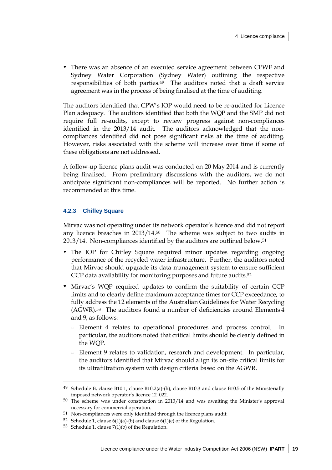There was an absence of an executed service agreement between CPWF and Sydney Water Corporation (Sydney Water) outlining the respective responsibilities of both parties.[49](#page-24-0) The auditors noted that a draft service agreement was in the process of being finalised at the time of auditing.

The auditors identified that CPW's IOP would need to be re-audited for Licence Plan adequacy. The auditors identified that both the WQP and the SMP did not require full re-audits, except to review progress against non-compliances identified in the 2013/14 audit. The auditors acknowledged that the noncompliances identified did not pose significant risks at the time of auditing. However, risks associated with the scheme will increase over time if some of these obligations are not addressed.

A follow-up licence plans audit was conducted on 20 May 2014 and is currently being finalised. From preliminary discussions with the auditors, we do not anticipate significant non-compliances will be reported. No further action is recommended at this time.

#### **4.2.3 Chifley Square**

Mirvac was not operating under its network operator's licence and did not report any licence breaches in 2013/14[.50](#page-24-1) The scheme was subject to two audits in 2013/14. Non-compliances identified by the auditors are outlined below.[51](#page-24-2)

- The IOP for Chifley Square required minor updates regarding ongoing performance of the recycled water infrastructure. Further, the auditors noted that Mirvac should upgrade its data management system to ensure sufficient CCP data availability for monitoring purposes and future audits.<sup>[52](#page-24-3)</sup>
- Mirvac's WQP required updates to confirm the suitability of certain CCP limits and to clearly define maximum acceptance times for CCP exceedance, to fully address the 12 elements of the Australian Guidelines for Water Recycling (AGWR)[.53](#page-24-4) The auditors found a number of deficiencies around Elements 4 and 9, as follows:
	- Element 4 relates to operational procedures and process control. In particular, the auditors noted that critical limits should be clearly defined in the WQP.
	- Element 9 relates to validation, research and development. In particular, the auditors identified that Mirvac should align its on-site critical limits for its ultrafiltration system with design criteria based on the AGWR.

<span id="page-24-0"></span><sup>&</sup>lt;sup>49</sup> Schedule B, clause B10.1, clause B10.2(a)-(h), clause B10.3 and clause B10.5 of the Ministerially imposed network operator's licence 12\_022.

<span id="page-24-1"></span><sup>50</sup> The scheme was under construction in 2013/14 and was awaiting the Minister's approval necessary for commercial operation.

<span id="page-24-2"></span><sup>51</sup> Non-compliances were only identified through the licence plans audit.

<span id="page-24-3"></span><sup>52</sup> Schedule 1, clause  $6(1)(a)$ -(b) and clause  $6(1)(e)$  of the Regulation.

<span id="page-24-4"></span><sup>53</sup> Schedule 1, clause  $7(1)(b)$  of the Regulation.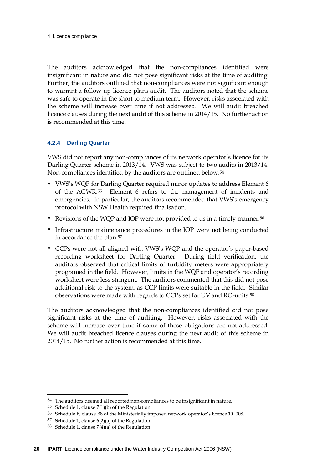The auditors acknowledged that the non-compliances identified were insignificant in nature and did not pose significant risks at the time of auditing. Further, the auditors outlined that non-compliances were not significant enough to warrant a follow up licence plans audit. The auditors noted that the scheme was safe to operate in the short to medium term. However, risks associated with the scheme will increase over time if not addressed. We will audit breached licence clauses during the next audit of this scheme in 2014/15. No further action is recommended at this time.

### **4.2.4 Darling Quarter**

VWS did not report any non-compliances of its network operator's licence for its Darling Quarter scheme in 2013/14. VWS was subject to two audits in 2013/14. Non-compliances identified by the auditors are outlined below[.54](#page-25-0)

- VWS's WQP for Darling Quarter required minor updates to address Element 6 of the AGWR[.55](#page-25-1) Element 6 refers to the management of incidents and emergencies. In particular, the auditors recommended that VWS's emergency protocol with NSW Health required finalisation.
- Revisions of the WQP and IOP were not provided to us in a timely manner[.56](#page-25-2)
- Infrastructure maintenance procedures in the IOP were not being conducted in accordance the plan[.57](#page-25-3)
- CCPs were not all aligned with VWS's WQP and the operator's paper-based recording worksheet for Darling Quarter. During field verification, the auditors observed that critical limits of turbidity meters were appropriately programed in the field. However, limits in the WQP and operator's recording worksheet were less stringent. The auditors commented that this did not pose additional risk to the system, as CCP limits were suitable in the field. Similar observations were made with regards to CCPs set for UV and RO-units[.58](#page-25-4)

The auditors acknowledged that the non-compliances identified did not pose significant risks at the time of auditing. However, risks associated with the scheme will increase over time if some of these obligations are not addressed. We will audit breached licence clauses during the next audit of this scheme in 2014/15. No further action is recommended at this time.

<span id="page-25-0"></span><sup>54</sup> The auditors deemed all reported non-compliances to be insignificant in nature.

<span id="page-25-1"></span><sup>55</sup> Schedule 1, clause  $7(1)(b)$  of the Regulation.

<span id="page-25-2"></span><sup>56</sup> Schedule B, clause B8 of the Ministerially imposed network operator's licence 10\_008.

<span id="page-25-3"></span><sup>57</sup> Schedule 1, clause 6(2)(a) of the Regulation.

<span id="page-25-4"></span><sup>58</sup> Schedule 1, clause  $7(4)(a)$  of the Regulation.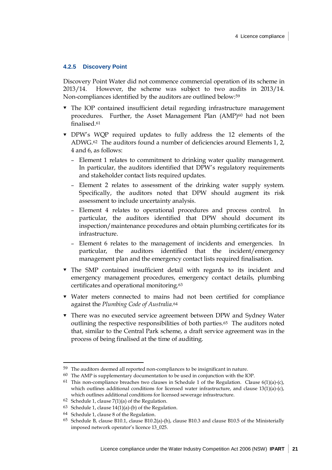#### **4.2.5 Discovery Point**

Discovery Point Water did not commence commercial operation of its scheme in 2013/14. However, the scheme was subject to two audits in 2013/14. Non-compliances identified by the auditors are outlined below:[59](#page-26-0)

- The IOP contained insufficient detail regarding infrastructure management procedures. Further, the Asset Management Plan  $(AMP)^{60}$  had not been finalised[.61](#page-26-2)
- DPW's WQP required updates to fully address the 12 elements of the ADWG.[62](#page-26-3) The auditors found a number of deficiencies around Elements 1, 2, 4 and 6, as follows:
	- Element 1 relates to commitment to drinking water quality management. In particular, the auditors identified that DPW's regulatory requirements and stakeholder contact lists required updates.
	- Element 2 relates to assessment of the drinking water supply system. Specifically, the auditors noted that DPW should augment its risk assessment to include uncertainty analysis.
	- Element 4 relates to operational procedures and process control. In particular, the auditors identified that DPW should document its inspection/maintenance procedures and obtain plumbing certificates for its infrastructure.
	- Element 6 relates to the management of incidents and emergencies. In particular, the auditors identified that the incident/emergency management plan and the emergency contact lists required finalisation.
- The SMP contained insufficient detail with regards to its incident and emergency management procedures, emergency contact details, plumbing certificates and operational monitoring.[63](#page-26-4)
- Water meters connected to mains had not been certified for compliance against the *Plumbing Code of Australia*.[64](#page-26-5)
- There was no executed service agreement between DPW and Sydney Water outlining the respective responsibilities of both parties.[65](#page-26-6) The auditors noted that, similar to the Central Park scheme, a draft service agreement was in the process of being finalised at the time of auditing.

<span id="page-26-0"></span><sup>59</sup> The auditors deemed all reported non-compliances to be insignificant in nature.

<span id="page-26-2"></span><span id="page-26-1"></span><sup>60</sup> The AMP is supplementary documentation to be used in conjunction with the IOP.

<sup>&</sup>lt;sup>61</sup> This non-compliance breaches two clauses in Schedule 1 of the Regulation. Clause  $6(1)(a)-(c)$ , which outlines additional conditions for licensed water infrastructure, and clause  $13(1)(a)-(c)$ , which outlines additional conditions for licensed sewerage infrastructure.

<span id="page-26-4"></span><span id="page-26-3"></span><sup>62</sup> Schedule 1, clause  $7(1)(a)$  of the Regulation.

<sup>63</sup> Schedule 1, clause  $14(1)(a)$ -(b) of the Regulation.

<span id="page-26-5"></span><sup>64</sup> Schedule 1, clause 8 of the Regulation.

<span id="page-26-6"></span><sup>65</sup> Schedule B, clause B10.1, clause B10.2(a)-(h), clause B10.3 and clause B10.5 of the Ministerially imposed network operator's licence 13\_025.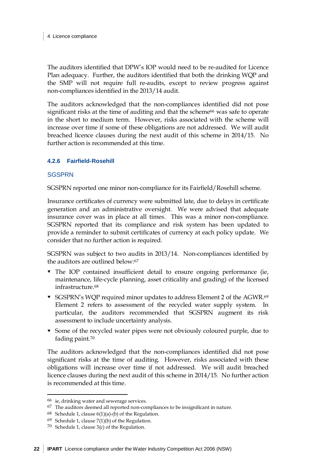The auditors identified that DPW's IOP would need to be re-audited for Licence Plan adequacy. Further, the auditors identified that both the drinking WQP and the SMP will not require full re-audits, except to review progress against non-compliances identified in the 2013/14 audit.

The auditors acknowledged that the non-compliances identified did not pose significant risks at the time of auditing and that the scheme[66](#page-27-0) was safe to operate in the short to medium term. However, risks associated with the scheme will increase over time if some of these obligations are not addressed. We will audit breached licence clauses during the next audit of this scheme in 2014/15. No further action is recommended at this time.

## **4.2.6 Fairfield-Rosehill**

#### **SGSPRN**

SGSPRN reported one minor non-compliance for its Fairfield/Rosehill scheme.

Insurance certificates of currency were submitted late, due to delays in certificate generation and an administrative oversight. We were advised that adequate insurance cover was in place at all times. This was a minor non-compliance. SGSPRN reported that its compliance and risk system has been updated to provide a reminder to submit certificates of currency at each policy update. We consider that no further action is required.

SGSPRN was subject to two audits in 2013/14. Non-compliances identified by the auditors are outlined below:[67](#page-27-1)

- The IOP contained insufficient detail to ensure ongoing performance (ie, maintenance, life-cycle planning, asset criticality and grading) of the licensed infrastructure[.68](#page-27-2)
- SGSPRN's WQP required minor updates to address Element 2 of the AGWR.[69](#page-27-3)  Element 2 refers to assessment of the recycled water supply system. In particular, the auditors recommended that SGSPRN augment its risk assessment to include uncertainty analysis.
- Some of the recycled water pipes were not obviously coloured purple, due to fading paint.[70](#page-27-4)

The auditors acknowledged that the non-compliances identified did not pose significant risks at the time of auditing. However, risks associated with these obligations will increase over time if not addressed. We will audit breached licence clauses during the next audit of this scheme in 2014/15. No further action is recommended at this time.

<span id="page-27-0"></span><sup>66</sup> ie, drinking water and sewerage services.

<span id="page-27-1"></span><sup>67</sup> The auditors deemed all reported non-compliances to be insignificant in nature.

<span id="page-27-2"></span><sup>68</sup> Schedule 1, clause  $6(1)(a)$ -(b) of the Regulation.

<span id="page-27-3"></span><sup>69</sup> Schedule 1, clause  $7(1)(b)$  of the Regulation.

<span id="page-27-4"></span><sup>&</sup>lt;sup>70</sup> Schedule 1, clause  $3(c)$  of the Regulation.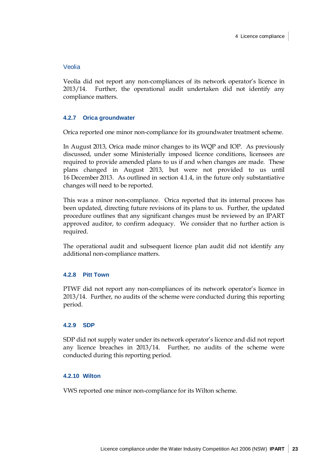#### Veolia

Veolia did not report any non-compliances of its network operator's licence in 2013/14. Further, the operational audit undertaken did not identify any compliance matters.

### **4.2.7 Orica groundwater**

Orica reported one minor non-compliance for its groundwater treatment scheme.

In August 2013, Orica made minor changes to its WQP and IOP. As previously discussed, under some Ministerially imposed licence conditions, licensees are required to provide amended plans to us if and when changes are made. These plans changed in August 2013, but were not provided to us until 16 December 2013. As outlined in section [4.1.4,](#page-20-7) in the future only substantiative changes will need to be reported.

This was a minor non-compliance. Orica reported that its internal process has been updated, directing future revisions of its plans to us. Further, the updated procedure outlines that any significant changes must be reviewed by an IPART approved auditor, to confirm adequacy. We consider that no further action is required.

The operational audit and subsequent licence plan audit did not identify any additional non-compliance matters.

#### **4.2.8 Pitt Town**

PTWF did not report any non-compliances of its network operator's licence in 2013/14. Further, no audits of the scheme were conducted during this reporting period.

#### **4.2.9 SDP**

SDP did not supply water under its network operator's licence and did not report any licence breaches in 2013/14. Further, no audits of the scheme were conducted during this reporting period.

#### **4.2.10 Wilton**

VWS reported one minor non-compliance for its Wilton scheme.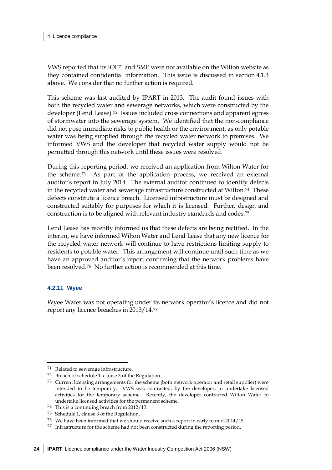VWS reported that its IOP[71](#page-29-0) and SMP were not available on the Wilton website as they contained confidential information. This issue is discussed in section [4.1.3](#page-20-8) above. We consider that no further action is required.

This scheme was last audited by IPART in 2013. The audit found issues with both the recycled water and sewerage networks, which were constructed by the developer (Lend Lease).[72](#page-29-1) Issues included cross connections and apparent egress of stormwater into the sewerage system. We identified that the non-compliance did not pose immediate risks to public health or the environment, as only potable water was being supplied through the recycled water network to premises. We informed VWS and the developer that recycled water supply would not be permitted through this network until these issues were resolved.

During this reporting period, we received an application from Wilton Water for the scheme.[73](#page-29-2) As part of the application process, we received an external auditor's report in July 2014. The external auditor continued to identify defects in the recycled water and sewerage infrastructure constructed at Wilton.[74](#page-29-3) These defects constitute a licence breach. Licensed infrastructure must be designed and constructed suitably for purposes for which it is licensed. Further, design and construction is to be aligned with relevant industry standards and codes.[75](#page-29-4)

Lend Lease has recently informed us that these defects are being rectified. In the interim, we have informed Wilton Water and Lend Lease that any new licence for the recycled water network will continue to have restrictions limiting supply to residents to potable water. This arrangement will continue until such time as we have an approved auditor's report confirming that the network problems have been resolved.[76](#page-29-5) No further action is recommended at this time.

#### **4.2.11 Wyee**

 $\ddot{\phantom{a}}$ 

Wyee Water was not operating under its network operator's licence and did not report any licence breaches in 2013/14.[77](#page-29-6)

<span id="page-29-0"></span><sup>71</sup> Related to sewerage infrastructure.

<span id="page-29-1"></span><sup>72</sup> Breach of schedule 1, clause 3 of the Regulation.

<span id="page-29-2"></span><sup>73</sup> Current licensing arrangements for the scheme (both network operator and retail supplier) were intended to be temporary. VWS was contracted, by the developer, to undertake licensed activities for the temporary scheme. Recently, the developer contracted Wilton Water to undertake licensed activities for the permanent scheme.

<span id="page-29-3"></span><sup>74</sup> This is a continuing breach from 2012/13.

<span id="page-29-4"></span><sup>75</sup> Schedule 1, clause 3 of the Regulation.

<sup>76</sup> We have been informed that we should receive such a report in early to mid-2014/15.

<span id="page-29-6"></span><span id="page-29-5"></span><sup>77</sup> Infrastructure for the scheme had not been constructed during the reporting period.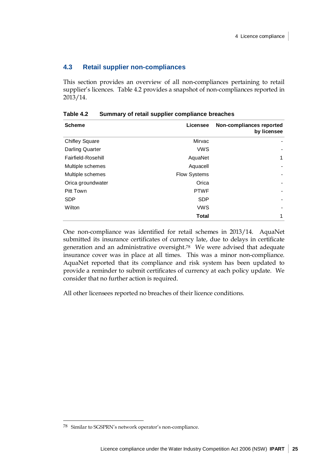## <span id="page-30-0"></span>**4.3 Retail supplier non-compliances**

This section provides an overview of all non-compliances pertaining to retail supplier's licences. Table 4.2 provides a snapshot of non-compliances reported in 2013/14.

| <b>Scheme</b>          | Licensee            | Non-compliances reported<br>by licensee |
|------------------------|---------------------|-----------------------------------------|
| <b>Chifley Square</b>  | Mirvac              |                                         |
| <b>Darling Quarter</b> | <b>VWS</b>          |                                         |
| Fairfield-Rosehill     | AquaNet             | 1                                       |
| Multiple schemes       | Aquacell            |                                         |
| Multiple schemes       | <b>Flow Systems</b> |                                         |
| Orica groundwater      | Orica               |                                         |
| <b>Pitt Town</b>       | <b>PTWF</b>         |                                         |
| <b>SDP</b>             | <b>SDP</b>          |                                         |
| Wilton                 | <b>VWS</b>          |                                         |
|                        | <b>Total</b>        | 1                                       |

**Table 4.2 Summary of retail supplier compliance breaches**

One non-compliance was identified for retail schemes in 2013/14. AquaNet submitted its insurance certificates of currency late, due to delays in certificate generation and an administrative oversight.[78](#page-30-1) We were advised that adequate insurance cover was in place at all times. This was a minor non-compliance. AquaNet reported that its compliance and risk system has been updated to provide a reminder to submit certificates of currency at each policy update. We consider that no further action is required.

All other licensees reported no breaches of their licence conditions.

<span id="page-30-1"></span><sup>78</sup> Similar to SGSPRN's network operator's non-compliance.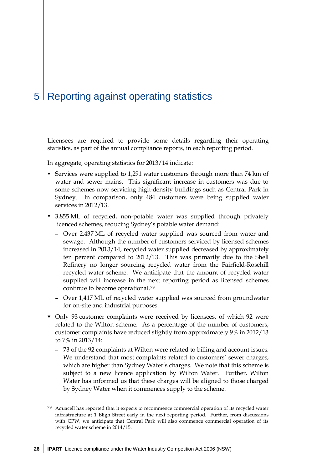## <span id="page-31-0"></span>5 Reporting against operating statistics

Licensees are required to provide some details regarding their operating statistics, as part of the annual compliance reports, in each reporting period.

In aggregate, operating statistics for 2013/14 indicate:

- $\blacktriangledown$  Services were supplied to 1,291 water customers through more than 74 km of water and sewer mains. This significant increase in customers was due to some schemes now servicing high-density buildings such as Central Park in Sydney. In comparison, only 484 customers were being supplied water services in 2012/13.
- 3,855 ML of recycled, non-potable water was supplied through privately licenced schemes, reducing Sydney's potable water demand:
	- Over 2,437 ML of recycled water supplied was sourced from water and sewage. Although the number of customers serviced by licensed schemes increased in 2013/14, recycled water supplied decreased by approximately ten percent compared to 2012/13. This was primarily due to the Shell Refinery no longer sourcing recycled water from the Fairfield-Rosehill recycled water scheme. We anticipate that the amount of recycled water supplied will increase in the next reporting period as licensed schemes continue to become operational.[79](#page-31-1)
	- Over 1,417 ML of recycled water supplied was sourced from groundwater for on-site and industrial purposes.
- Only 93 customer complaints were received by licensees, of which 92 were related to the Wilton scheme. As a percentage of the number of customers, customer complaints have reduced slightly from approximately 9% in 2012/13 to 7% in 2013/14:
	- 73 of the 92 complaints at Wilton were related to billing and account issues. We understand that most complaints related to customers' sewer charges, which are higher than Sydney Water's charges. We note that this scheme is subject to a new licence application by Wilton Water. Further, Wilton Water has informed us that these charges will be aligned to those charged by Sydney Water when it commences supply to the scheme.

<span id="page-31-1"></span><sup>79</sup> Aquacell has reported that it expects to recommence commercial operation of its recycled water infrastructure at 1 Bligh Street early in the next reporting period. Further, from discussions with CPW, we anticipate that Central Park will also commence commercial operation of its recycled water scheme in 2014/15.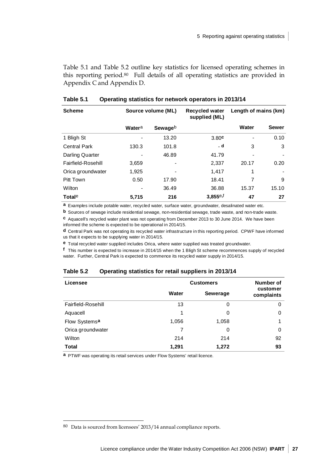[Table 5.1](#page-32-0) and [Table 5.2](#page-32-1) outline key statistics for licensed operating schemes in this reporting period[.80](#page-32-2) Full details of all operating statistics are provided in Appendix [C](#page-41-0) and Appendix [D.](#page-59-0)

| <b>Scheme</b>          | Source volume (ML) |         | <b>Recycled water</b><br>supplied (ML) | Length of mains (km) |              |
|------------------------|--------------------|---------|----------------------------------------|----------------------|--------------|
|                        | Watera             | Sewageb |                                        | Water                | <b>Sewer</b> |
| 1 Bligh St             |                    | 13.20   | 3.80c                                  |                      | 0.10         |
| <b>Central Park</b>    | 130.3              | 101.8   | . d                                    | 3                    | 3            |
| <b>Darling Quarter</b> |                    | 46.89   | 41.79                                  |                      |              |
| Fairfield-Rosehill     | 3,659              |         | 2,337                                  | 20.17                | 0.20         |
| Orica groundwater      | 1,925              |         | 1,417                                  | 1                    |              |
| Pitt Town              | 0.50               | 17.90   | 18.41                                  | 7                    | 9            |
| Wilton                 |                    | 36.49   | 36.88                                  | 15.37                | 15.10        |
| Total <sup>e</sup>     | 5,715              | 216     | 3,855e,f                               | 47                   | 27           |

### <span id="page-32-0"></span>**Table 5.1 Operating statistics for network operators in 2013/14**

**a** Examples include potable water, recycled water, surface water, groundwater, desalinated water etc.

**b** Sources of sewage include residential sewage, non-residential sewage, trade waste, and non-trade waste.

**c** Aquacell's recycled water plant was not operating from December 2013 to 30 June 2014. We have been informed the scheme is expected to be operational in 2014/15.

**d** Central Park was not operating its recycled water infrastructure in this reporting period. CPWF have informed us that it expects to be supplying water in 2014/15.

**e** Total recycled water supplied includes Orica, where water supplied was treated groundwater.

**f** This number is expected to increase in 2014/15 when the 1 Bligh St scheme recommences supply of recycled water. Further, Central Park is expected to commence its recycled water supply in 2014/15.

#### <span id="page-32-1"></span>**Table 5.2 Operating statistics for retail suppliers in 2013/14**

| Licensee                  | <b>Customers</b> |                 | Number of              |
|---------------------------|------------------|-----------------|------------------------|
|                           | Water            | <b>Sewerage</b> | customer<br>complaints |
| Fairfield-Rosehill        | 13               | 0               | 0                      |
| Aquacell                  | 1                | 0               | 0                      |
| Flow Systems <sup>a</sup> | 1,056            | 1,058           |                        |
| Orica groundwater         | 7                | 0               | 0                      |
| Wilton                    | 214              | 214             | 92                     |
| <b>Total</b>              | 1,291            | 1,272           | 93                     |

**a** PTWF was operating its retail services under Flow Systems' retail licence.

<span id="page-32-2"></span><sup>80</sup> Data is sourced from licensees' 2013/14 annual compliance reports.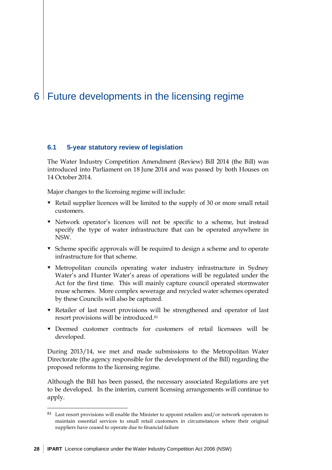## <span id="page-33-0"></span>6 Future developments in the licensing regime

## **6.1 5-year statutory review of legislation**

The Water Industry Competition Amendment (Review) Bill 2014 (the Bill) was introduced into Parliament on 18 June 2014 and was passed by both Houses on 14 October 2014.

Major changes to the licensing regime will include:

- $\blacktriangleright$  Retail supplier licences will be limited to the supply of 30 or more small retail customers.
- Network operator's licences will not be specific to a scheme, but instead specify the type of water infrastructure that can be operated anywhere in NSW.
- $\bullet$  Scheme specific approvals will be required to design a scheme and to operate infrastructure for that scheme.
- Metropolitan councils operating water industry infrastructure in Sydney Water's and Hunter Water's areas of operations will be regulated under the Act for the first time. This will mainly capture council operated stormwater reuse schemes. More complex sewerage and recycled water schemes operated by these Councils will also be captured.
- Retailer of last resort provisions will be strengthened and operator of last resort provisions will be introduced[.81](#page-33-1)
- Deemed customer contracts for customers of retail licensees will be developed.

During 2013/14, we met and made submissions to the Metropolitan Water Directorate (the agency responsible for the development of the Bill) regarding the proposed reforms to the licensing regime.

Although the Bill has been passed, the necessary associated Regulations are yet to be developed. In the interim, current licensing arrangements will continue to apply.

<span id="page-33-1"></span><sup>81</sup> Last resort provisions will enable the Minister to appoint retailers and/or network operators to maintain essential services to small retail customers in circumstances where their original suppliers have ceased to operate due to financial failure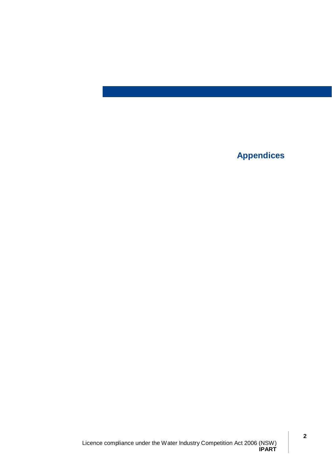**Appendices**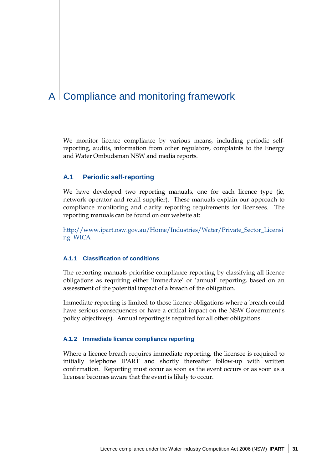# A | Compliance and monitoring framework

We monitor licence compliance by various means, including periodic selfreporting, audits, information from other regulators, complaints to the Energy and Water Ombudsman NSW and media reports.

#### **A.1 Periodic self-reporting**

We have developed two reporting manuals, one for each licence type (ie, network operator and retail supplier). These manuals explain our approach to compliance monitoring and clarify reporting requirements for licensees. The reporting manuals can be found on our website at:

[http://www.ipart.nsw.gov.au/Home/Industries/Water/Private\\_Sector\\_Licensi](http://www.ipart.nsw.gov.au/Home/Industries/Water/Private_Sector_Licensing_WICA) [ng\\_WICA](http://www.ipart.nsw.gov.au/Home/Industries/Water/Private_Sector_Licensing_WICA)

#### **A.1.1 Classification of conditions**

The reporting manuals prioritise compliance reporting by classifying all licence obligations as requiring either 'immediate' or 'annual' reporting, based on an assessment of the potential impact of a breach of the obligation.

Immediate reporting is limited to those licence obligations where a breach could have serious consequences or have a critical impact on the NSW Government's policy objective(s). Annual reporting is required for all other obligations.

#### **A.1.2 Immediate licence compliance reporting**

Where a licence breach requires immediate reporting, the licensee is required to initially telephone IPART and shortly thereafter follow-up with written confirmation. Reporting must occur as soon as the event occurs or as soon as a licensee becomes aware that the event is likely to occur.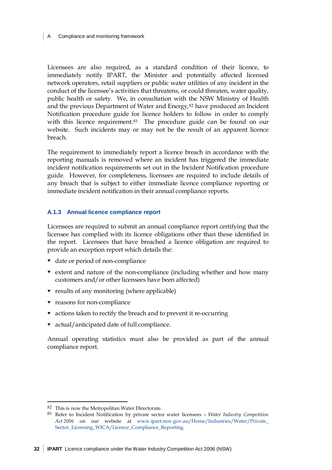Compliance and monitoring framework

Licensees are also required, as a standard condition of their licence, to immediately notify IPART, the Minister and potentially affected licensed network operators, retail suppliers or public water utilities of any incident in the conduct of the licensee's activities that threatens, or could threaten, water quality, public health or safety. We, in consultation with the NSW Ministry of Health and the previous Department of Water and Energy,<sup>[82](#page-37-0)</sup> have produced an Incident Notification procedure guide for licence holders to follow in order to comply with this licence requirement.<sup>83</sup> The procedure guide can be found on our website. Such incidents may or may not be the result of an apparent licence breach.

The requirement to immediately report a licence breach in accordance with the reporting manuals is removed where an incident has triggered the immediate incident notification requirements set out in the Incident Notification procedure guide. However, for completeness, licensees are required to include details of any breach that is subject to either immediate licence compliance reporting or immediate incident notification in their annual compliance reports.

#### **A.1.3 Annual licence compliance report**

Licensees are required to submit an annual compliance report certifying that the licensee has complied with its licence obligations other than those identified in the report. Licensees that have breached a licence obligation are required to provide an exception report which details the:

- date or period of non-compliance
- $\bullet$  extent and nature of the non-compliance (including whether and how many customers and/or other licensees have been affected)
- $\bullet$  results of any monitoring (where applicable)
- **v** reasons for non-compliance
- actions taken to rectify the breach and to prevent it re-occurring
- actual/anticipated date of full compliance.

Annual operating statistics must also be provided as part of the annual compliance report.

 $\overline{a}$ 

<span id="page-37-0"></span><sup>82</sup> This is now the Metropolitan Water Directorate.

<span id="page-37-1"></span><sup>83</sup> Refer to Incident Notification by private sector water licensees – *Water Industry Competition Act 2006* on our website at [www.ipart.nsw.gov.au/Home/Industries/Water/Private\\_](http://www.ipart.nsw.gov.au/Home/Industries/Water/Private_Sector_Licensing_WICA/Licence_Compliance_Reporting) [Sector\\_Licensing\\_WICA/Licence\\_Compliance\\_Reporting.](http://www.ipart.nsw.gov.au/Home/Industries/Water/Private_Sector_Licensing_WICA/Licence_Compliance_Reporting)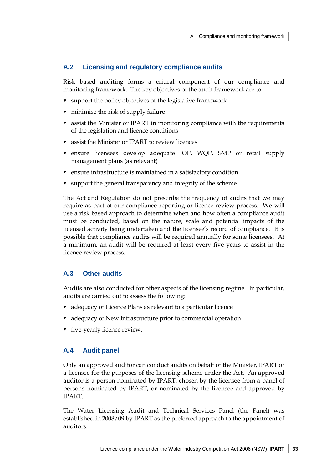#### **A.2 Licensing and regulatory compliance audits**

Risk based auditing forms a critical component of our compliance and monitoring framework. The key objectives of the audit framework are to:

- $\bullet$  support the policy objectives of the legislative framework
- $\bullet$  minimise the risk of supply failure
- assist the Minister or IPART in monitoring compliance with the requirements of the legislation and licence conditions
- assist the Minister or IPART to review licences
- ensure licensees develop adequate IOP, WQP, SMP or retail supply management plans (as relevant)
- ensure infrastructure is maintained in a satisfactory condition
- $\bullet$  support the general transparency and integrity of the scheme.

The Act and Regulation do not prescribe the frequency of audits that we may require as part of our compliance reporting or licence review process. We will use a risk based approach to determine when and how often a compliance audit must be conducted, based on the nature, scale and potential impacts of the licensed activity being undertaken and the licensee's record of compliance. It is possible that compliance audits will be required annually for some licensees. At a minimum, an audit will be required at least every five years to assist in the licence review process.

#### **A.3 Other audits**

Audits are also conducted for other aspects of the licensing regime. In particular, audits are carried out to assess the following:

- adequacy of Licence Plans as relevant to a particular licence
- adequacy of New Infrastructure prior to commercial operation
- **v** five-yearly licence review.

#### **A.4 Audit panel**

Only an approved auditor can conduct audits on behalf of the Minister, IPART or a licensee for the purposes of the licensing scheme under the Act. An approved auditor is a person nominated by IPART, chosen by the licensee from a panel of persons nominated by IPART, or nominated by the licensee and approved by IPART.

The Water Licensing Audit and Technical Services Panel (the Panel) was established in 2008/09 by IPART as the preferred approach to the appointment of auditors.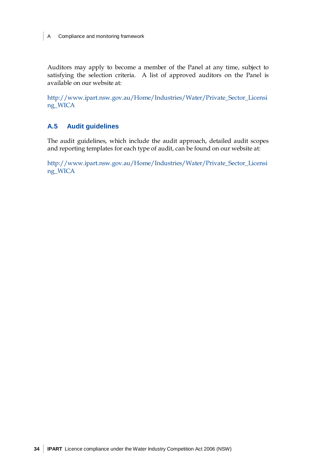Auditors may apply to become a member of the Panel at any time, subject to satisfying the selection criteria. A list of approved auditors on the Panel is available on our website at:

[http://www.ipart.nsw.gov.au/Home/Industries/Water/Private\\_Sector\\_Licensi](http://www.ipart.nsw.gov.au/Home/Industries/Water/Private_Sector_Licensing_WICA) [ng\\_WICA](http://www.ipart.nsw.gov.au/Home/Industries/Water/Private_Sector_Licensing_WICA)

#### **A.5 Audit guidelines**

The audit guidelines, which include the audit approach, detailed audit scopes and reporting templates for each type of audit, can be found on our website at:

[http://www.ipart.nsw.gov.au/Home/Industries/Water/Private\\_Sector\\_Licensi](http://www.ipart.nsw.gov.au/Home/Industries/Water/Private_Sector_Licensing_WICA) [ng\\_WICA](http://www.ipart.nsw.gov.au/Home/Industries/Water/Private_Sector_Licensing_WICA)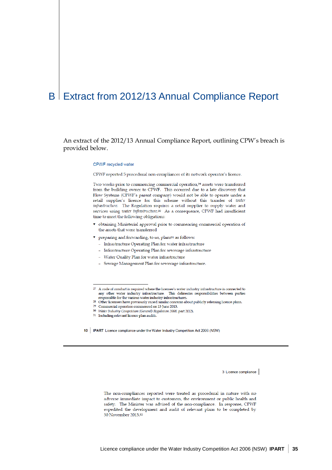## B | Extract from 2012/13 Annual Compliance Report

An extract of the 2012/13 Annual Compliance Report, outlining CPW's breach is provided below.

#### CPWF recycled water

CPWF reported 5 procedural non-compliances of its network operator's licence.

Two weeks prior to commencing commercial operation,<sup>29</sup> assets were transferred from the building owner to CPWF. This occurred due to a late discovery that Flow Systems (CPWF's parent company) would not be able to operate under a retail supplier's licence for this scheme without this transfer of water infrastructure. The Regulation requires a retail supplier to supply water and services using water infrastructure.<sup>30</sup> As a consequence, CPWF had insufficient time to meet the following obligations:

- obtaining Ministerial approval prior to commencing commercial operation of the assets that were transferred
- preparing and forwarding, to us, plans<sup>31</sup> as follows:
	- Infrastructure Operating Plan for water infrastructure
	- Infrastructure Operating Plan for sewerage infrastructure
	- Water Quality Plan for water infrastructure
	- Sewage Management Plan for sewerage infrastructure.
- $^{27}\,$  A code of conduct is required where the licensee's water industry infrastructure is connected to any other water industry infrastructure. This delineates responsibilities between parties responsible for the various water industry infrastructures
- <sup>28</sup> Other licensees have previously raised similar concerns about publicly releasing licence plans.
- <sup>29</sup> Commercial operation commenced on 13 June 2013.
- <sup>30</sup> Water Industry Competition (General) Regulation 2008, part 2(12).
- 31 Including relevant licence plan audits.
- 10 | IPART Licence compliance under the Water Industry Competition Act 2006 (NSW)

3 Licence compliance

The non-compliances reported were treated as procedural in nature with no adverse immediate impact to customers, the environment or public health and safety. The Minister was advised of the non-compliance. In response, CPWF expedited the development and audit of relevant plans to be completed by 30 November 2013,32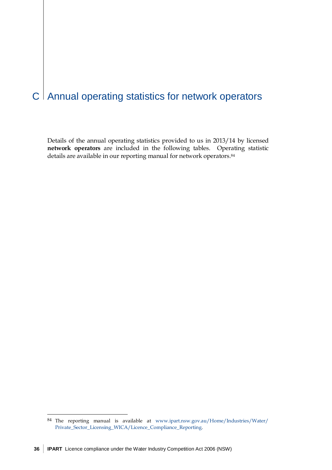# $C$  Annual operating statistics for network operators

Details of the annual operating statistics provided to us in 2013/14 by licensed **network operators** are included in the following tables. Operating statistic details are available in our reporting manual for network operators.<sup>84</sup>

 $\overline{a}$ 

<span id="page-41-0"></span><sup>84</sup> The reporting manual is available at [www.ipart.nsw.gov.au/Home/Industries/Water/](http://www.ipart.nsw.gov.au/Home/Industries/Water/Private_Sector_Licensing_WICA/Licence_Compliance_Reporting) [Private\\_Sector\\_Licensing\\_WICA/Licence\\_Compliance\\_Reporting.](http://www.ipart.nsw.gov.au/Home/Industries/Water/Private_Sector_Licensing_WICA/Licence_Compliance_Reporting)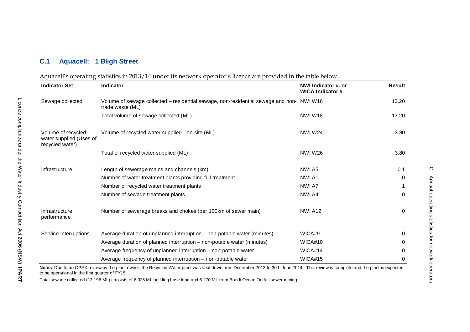#### **C.1 Aquacell: 1 Bligh Street**

### Aquacell's operating statistics in 2013/14 under its network operator's licence are provided in the table below.

| <b>Indicator Set</b>                                             | Indicator                                                                                                    | NWI Indicator #. or<br><b>WICA Indicator #</b> | Result   |
|------------------------------------------------------------------|--------------------------------------------------------------------------------------------------------------|------------------------------------------------|----------|
| Sewage collected                                                 | Volume of sewage collected - residential sewage, non-residential sewage and non- NWI W16<br>trade waste (ML) |                                                | 13.20    |
|                                                                  | Total volume of sewage collected (ML)                                                                        | <b>NWIW18</b>                                  | 13.20    |
| Volume of recycled<br>water supplied (Uses of<br>recycled water) | Volume of recycled water supplied - on-site (ML)                                                             | <b>NWIW24</b>                                  | 3.80     |
|                                                                  | Total of recycled water supplied (ML)                                                                        | <b>NWIW26</b>                                  | 3.80     |
| Infrastructure                                                   | Length of sewerage mains and channels (km)                                                                   | NWI A5                                         | 0.1      |
|                                                                  | Number of water treatment plants providing full treatment                                                    | NWI A1                                         | $\Omega$ |
|                                                                  | Number of recycled water treatment plants                                                                    | NWI A7                                         |          |
|                                                                  | Number of sewage treatment plants                                                                            | NWI A4                                         | $\Omega$ |
| Infrastructure<br>performance                                    | Number of sewerage breaks and chokes (per 100km of sewer main)                                               | NWIA <sub>12</sub>                             | 0        |
| Service Interruptions                                            | Average duration of unplanned interruption - non-potable water (minutes)                                     | WICA#9                                         | 0        |
|                                                                  | Average duration of planned interruption – non-potable water (minutes)                                       | WICA#10                                        | 0        |
|                                                                  | Average frequency of unplanned interruption – non-potable water                                              | WICA#14                                        | 0        |
|                                                                  | Average frequency of planned interruption – non-potable water                                                | WICA#15                                        | 0        |

Notes: Due to an OPEX review by the plant owner, the Recycled Water plant was shut down from December 2013 to 30th June 2014. This review is complete and the plant is expected to be operational in the first quarter of FY15.

Total sewage collected (13.196 ML) consists of 6.926 ML building base load and 6.270 ML from Bondi Ocean Outfall sewer mining.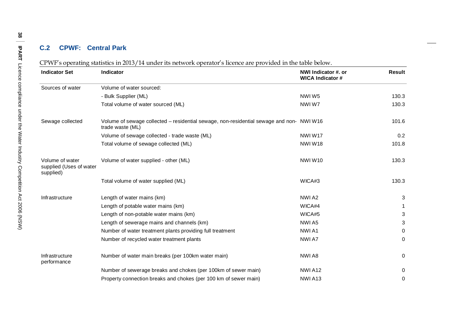#### **C.2 CPW F : Central Park**

| <b>Indicator Set</b>                                    | <b>Indicator</b>                                                                                             | NWI Indicator #. or<br><b>WICA Indicator #</b> | <b>Result</b> |
|---------------------------------------------------------|--------------------------------------------------------------------------------------------------------------|------------------------------------------------|---------------|
| Sources of water                                        | Volume of water sourced:                                                                                     |                                                |               |
|                                                         | - Bulk Supplier (ML)                                                                                         | NWIW5                                          | 130.3         |
|                                                         | Total volume of water sourced (ML)                                                                           | NWIW7                                          | 130.3         |
| Sewage collected                                        | Volume of sewage collected – residential sewage, non-residential sewage and non- NWI W16<br>trade waste (ML) |                                                | 101.6         |
|                                                         | Volume of sewage collected - trade waste (ML)                                                                | NWIW17                                         | 0.2           |
|                                                         | Total volume of sewage collected (ML)                                                                        | NWIW18                                         | 101.8         |
| Volume of water<br>supplied (Uses of water<br>supplied) | Volume of water supplied - other (ML)                                                                        | <b>NWIW10</b>                                  | 130.3         |
|                                                         | Total volume of water supplied (ML)                                                                          | WICA#3                                         | 130.3         |
| Infrastructure                                          | Length of water mains (km)                                                                                   | NWI A2                                         | 3             |
|                                                         | Length of potable water mains (km)                                                                           | WICA#4                                         | 1             |
|                                                         | Length of non-potable water mains (km)                                                                       | WICA#5                                         | 3             |
|                                                         | Length of sewerage mains and channels (km)                                                                   | NWI A5                                         | 3             |
|                                                         | Number of water treatment plants providing full treatment                                                    | NWI A1                                         | 0             |
|                                                         | Number of recycled water treatment plants                                                                    | NWI A7                                         | $\Omega$      |
| Infrastructure<br>performance                           | Number of water main breaks (per 100km water main)                                                           | NWI A8                                         | 0             |
|                                                         | Number of sewerage breaks and chokes (per 100km of sewer main)                                               | NWIA <sub>12</sub>                             | 0             |
|                                                         | Property connection breaks and chokes (per 100 km of sewer main)                                             | NWIA <sub>13</sub>                             | 0             |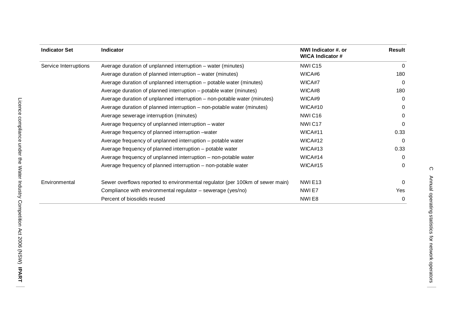| <b>Indicator Set</b>  | <b>Indicator</b>                                                              | NWI Indicator #. or<br><b>WICA Indicator #</b> | Result       |
|-----------------------|-------------------------------------------------------------------------------|------------------------------------------------|--------------|
| Service Interruptions | Average duration of unplanned interruption – water (minutes)                  | NWIC <sub>15</sub>                             | 0            |
|                       | Average duration of planned interruption – water (minutes)                    | WICA#6                                         | 180          |
|                       | Average duration of unplanned interruption – potable water (minutes)          | WICA#7                                         | $\Omega$     |
|                       | Average duration of planned interruption – potable water (minutes)            | WICA#8                                         | 180          |
|                       | Average duration of unplanned interruption – non-potable water (minutes)      | WICA#9                                         | $\Omega$     |
|                       | Average duration of planned interruption – non-potable water (minutes)        | WICA#10                                        | 0            |
|                       | Average sewerage interruption (minutes)                                       | NWIC <sub>16</sub>                             | 0            |
|                       | Average frequency of unplanned interruption – water                           | NWIC <sub>17</sub>                             | $\Omega$     |
|                       | Average frequency of planned interruption –water                              | WICA#11                                        | 0.33         |
|                       | Average frequency of unplanned interruption – potable water                   | WICA#12                                        | $\Omega$     |
|                       | Average frequency of planned interruption - potable water                     | WICA#13                                        | 0.33         |
|                       | Average frequency of unplanned interruption – non-potable water               | WICA#14                                        | $\Omega$     |
|                       | Average frequency of planned interruption – non-potable water                 | WICA#15                                        | $\Omega$     |
| Environmental         | Sewer overflows reported to environmental regulator (per 100km of sewer main) | NWIE <sub>13</sub>                             | $\Omega$     |
|                       | Compliance with environmental regulator – sewerage (yes/no)                   | NWI E7                                         | Yes          |
|                       | Percent of biosolids reused                                                   | NWIE8                                          | $\mathbf{0}$ |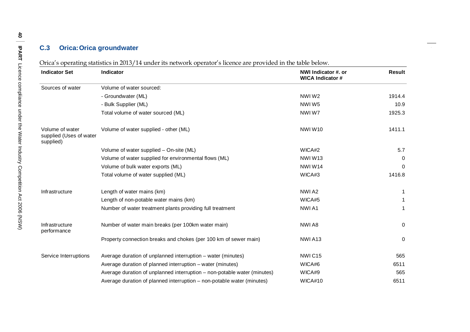#### **C.3 Orica :Orica groundwater**

Orica's operating statistics in 2013/14 under its network operator's licence are provided in the table below.

| <b>Indicator Set</b>                                    | <b>Indicator</b>                                                         | NWI Indicator #. or<br><b>WICA Indicator #</b> | <b>Result</b> |
|---------------------------------------------------------|--------------------------------------------------------------------------|------------------------------------------------|---------------|
| Sources of water                                        | Volume of water sourced:                                                 |                                                |               |
|                                                         | - Groundwater (ML)                                                       | NWIW2                                          | 1914.4        |
|                                                         | - Bulk Supplier (ML)                                                     | NWIW <sub>5</sub>                              | 10.9          |
|                                                         | Total volume of water sourced (ML)                                       | NWIW7                                          | 1925.3        |
| Volume of water<br>supplied (Uses of water<br>supplied) | Volume of water supplied - other (ML)                                    | NWIW10                                         | 1411.1        |
|                                                         | Volume of water supplied - On-site (ML)                                  | WICA#2                                         | 5.7           |
|                                                         | Volume of water supplied for environmental flows (ML)                    | NWIW13                                         | 0             |
|                                                         | Volume of bulk water exports (ML)                                        | NWIW14                                         | 0             |
|                                                         | Total volume of water supplied (ML)                                      | WICA#3                                         | 1416.8        |
| Infrastructure                                          | Length of water mains (km)                                               | NWI A2                                         |               |
|                                                         | Length of non-potable water mains (km)                                   | WICA#5                                         |               |
|                                                         | Number of water treatment plants providing full treatment                | NWI A1                                         |               |
| Infrastructure<br>performance                           | Number of water main breaks (per 100km water main)                       | NWI A8                                         | $\mathbf 0$   |
|                                                         | Property connection breaks and chokes (per 100 km of sewer main)         | NWIA <sub>13</sub>                             | $\mathbf 0$   |
| Service Interruptions                                   | Average duration of unplanned interruption – water (minutes)             | NWIC <sub>15</sub>                             | 565           |
|                                                         | Average duration of planned interruption - water (minutes)               | WICA#6                                         | 6511          |
|                                                         | Average duration of unplanned interruption – non-potable water (minutes) | WICA#9                                         | 565           |
|                                                         | Average duration of planned interruption - non-potable water (minutes)   | WICA#10                                        | 6511          |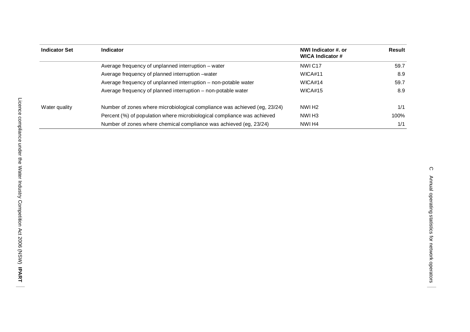| <b>Indicator Set</b> | Indicator                                                                 | NWI Indicator #. or<br>WICA Indicator # | Result |
|----------------------|---------------------------------------------------------------------------|-----------------------------------------|--------|
|                      | Average frequency of unplanned interruption – water                       | NWIC <sub>17</sub>                      | 59.7   |
|                      | Average frequency of planned interruption -water                          | WICA#11                                 | 8.9    |
|                      | Average frequency of unplanned interruption – non-potable water           | WICA#14                                 | 59.7   |
|                      | Average frequency of planned interruption - non-potable water             | WICA#15                                 | 8.9    |
| Water quality        | Number of zones where microbiological compliance was achieved (eg, 23/24) | NWI <sub>H2</sub>                       | 1/1    |
|                      | Percent (%) of population where microbiological compliance was achieved   | NWI H <sub>3</sub>                      | 100%   |
|                      | Number of zones where chemical compliance was achieved (eg, 23/24)        | NWI H4                                  | 1/1    |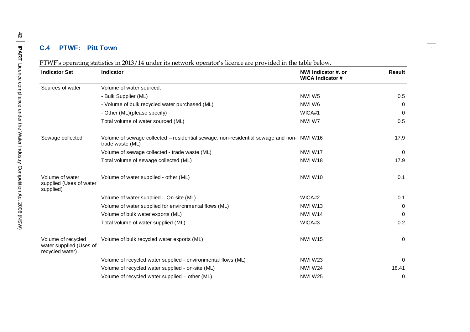#### **C.4 PTWF : Pitt Town**

|  | PTWF's operating statistics in 2013/14 under its network operator's licence are provided in the table below. |  |
|--|--------------------------------------------------------------------------------------------------------------|--|
|--|--------------------------------------------------------------------------------------------------------------|--|

| <b>Indicator Set</b>                                             | Indicator                                                                                                    | NWI Indicator #. or<br><b>WICA Indicator #</b> | Result   |
|------------------------------------------------------------------|--------------------------------------------------------------------------------------------------------------|------------------------------------------------|----------|
| Sources of water                                                 | Volume of water sourced:                                                                                     |                                                |          |
|                                                                  | - Bulk Supplier (ML)                                                                                         | NWIW5                                          | 0.5      |
|                                                                  | - Volume of bulk recycled water purchased (ML)                                                               | NWIW6                                          | $\Omega$ |
|                                                                  | - Other (ML)(please specify)                                                                                 | WICA#1                                         | $\Omega$ |
|                                                                  | Total volume of water sourced (ML)                                                                           | NWIW7                                          | 0.5      |
| Sewage collected                                                 | Volume of sewage collected - residential sewage, non-residential sewage and non- NWI W16<br>trade waste (ML) |                                                | 17.9     |
|                                                                  | Volume of sewage collected - trade waste (ML)                                                                | NWIW17                                         | 0        |
|                                                                  | Total volume of sewage collected (ML)                                                                        | <b>NWIW18</b>                                  | 17.9     |
| Volume of water<br>supplied (Uses of water<br>supplied)          | Volume of water supplied - other (ML)                                                                        | <b>NWIW10</b>                                  | 0.1      |
|                                                                  | Volume of water supplied - On-site (ML)                                                                      | WICA#2                                         | 0.1      |
|                                                                  | Volume of water supplied for environmental flows (ML)                                                        | NWIW <sub>13</sub>                             | 0        |
|                                                                  | Volume of bulk water exports (ML)                                                                            | <b>NWIW14</b>                                  | $\Omega$ |
|                                                                  | Total volume of water supplied (ML)                                                                          | WICA#3                                         | 0.2      |
| Volume of recycled<br>water supplied (Uses of<br>recycled water) | Volume of bulk recycled water exports (ML)                                                                   | <b>NWIW15</b>                                  | 0        |
|                                                                  | Volume of recycled water supplied - environmental flows (ML)                                                 | <b>NWIW23</b>                                  | $\Omega$ |
|                                                                  | Volume of recycled water supplied - on-site (ML)                                                             | <b>NWIW24</b>                                  | 18.41    |
|                                                                  | Volume of recycled water supplied - other (ML)                                                               | <b>NWIW25</b>                                  | 0        |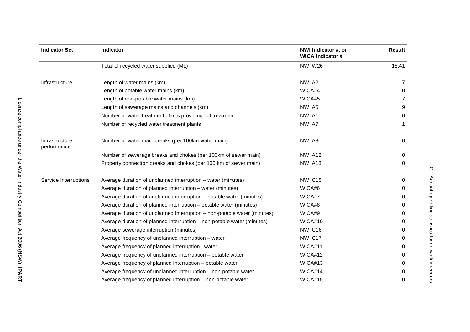| <b>Indicator Set</b>          | Indicator                                                                | NWI Indicator #. or<br><b>WICA Indicator #</b> | <b>Result</b> |
|-------------------------------|--------------------------------------------------------------------------|------------------------------------------------|---------------|
|                               | Total of recycled water supplied (ML)                                    | <b>NWIW26</b>                                  | 18.41         |
| Infrastructure                | Length of water mains (km)                                               | NWI A2                                         | 7             |
|                               | Length of potable water mains (km)                                       | WICA#4                                         | 0             |
|                               | Length of non-potable water mains (km)                                   | WICA#5                                         |               |
|                               | Length of sewerage mains and channels (km)                               | NWI A5                                         | 9             |
|                               | Number of water treatment plants providing full treatment                | NWI A1                                         | 0             |
|                               | Number of recycled water treatment plants                                | NWI A7                                         |               |
| Infrastructure<br>performance | Number of water main breaks (per 100km water main)                       | NWI A8                                         | 0             |
|                               | Number of sewerage breaks and chokes (per 100km of sewer main)           | NWIA <sub>12</sub>                             | 0             |
|                               | Property connection breaks and chokes (per 100 km of sewer main)         | NWIA <sub>13</sub>                             | 0             |
| Service Interruptions         | Average duration of unplanned interruption – water (minutes)             | NWIC <sub>15</sub>                             | 0             |
|                               | Average duration of planned interruption – water (minutes)               | WICA#6                                         | 0             |
|                               | Average duration of unplanned interruption - potable water (minutes)     | WICA#7                                         | 0             |
|                               | Average duration of planned interruption – potable water (minutes)       | WICA#8                                         | 0             |
|                               | Average duration of unplanned interruption - non-potable water (minutes) | WICA#9                                         | 0             |
|                               | Average duration of planned interruption - non-potable water (minutes)   | WICA#10                                        | 0             |
|                               | Average sewerage interruption (minutes)                                  | NWIC16                                         | 0             |
|                               | Average frequency of unplanned interruption - water                      | NWIC17                                         | 0             |
|                               | Average frequency of planned interruption -water                         | WICA#11                                        | 0             |
|                               | Average frequency of unplanned interruption - potable water              | WICA#12                                        | 0             |
|                               | Average frequency of planned interruption - potable water                | WICA#13                                        | 0             |
|                               | Average frequency of unplanned interruption - non-potable water          | WICA#14                                        | 0             |
|                               | Average frequency of planned interruption – non-potable water            | WICA#15                                        | 0             |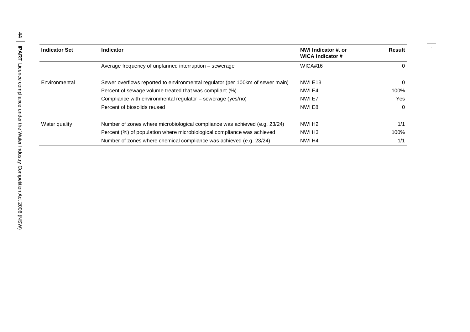| <b>Indicator Set</b> | <b>Indicator</b>                                                              | NWI Indicator #. or<br>WICA Indicator # | Result |
|----------------------|-------------------------------------------------------------------------------|-----------------------------------------|--------|
|                      | Average frequency of unplanned interruption – sewerage                        | WICA#16                                 | 0      |
| Environmental        | Sewer overflows reported to environmental regulator (per 100km of sewer main) | NWIE <sub>13</sub>                      | 0      |
|                      | Percent of sewage volume treated that was compliant (%)                       | NWI E4                                  | 100%   |
|                      | Compliance with environmental regulator – sewerage (yes/no)                   | NWI E7                                  | Yes    |
|                      | Percent of biosolids reused                                                   | NWI E8                                  | 0      |
| Water quality        | Number of zones where microbiological compliance was achieved (e.g. 23/24)    | NWI H <sub>2</sub>                      | 1/1    |
|                      | Percent (%) of population where microbiological compliance was achieved       | NWI H3                                  | 100%   |
|                      | Number of zones where chemical compliance was achieved (e.g. 23/24)           | NWI <sub>H4</sub>                       | 1/1    |

 $\hspace{0.05cm}$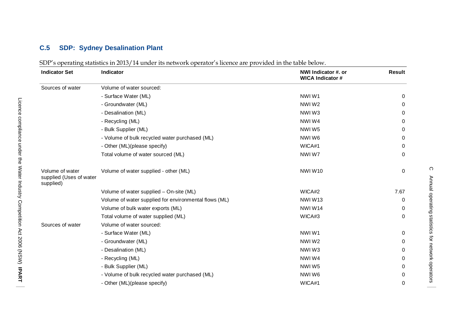#### **C.5 SDP : Sydney Desalination Plant**

| SDP's operating statistics in 2013/14 under its network operator's licence are provided in the table below. |  |
|-------------------------------------------------------------------------------------------------------------|--|
|                                                                                                             |  |

| <b>Indicator Set</b>                                    | <b>Indicator</b>                                      | NWI Indicator #. or<br><b>WICA Indicator #</b> | <b>Result</b> |
|---------------------------------------------------------|-------------------------------------------------------|------------------------------------------------|---------------|
| Sources of water                                        | Volume of water sourced:                              |                                                |               |
|                                                         | - Surface Water (ML)                                  | NWIW1                                          | 0             |
|                                                         | - Groundwater (ML)                                    | NWIW2                                          | 0             |
|                                                         | - Desalination (ML)                                   | NWIW3                                          | $\Omega$      |
|                                                         | - Recycling (ML)                                      | NWIW4                                          | 0             |
|                                                         | - Bulk Supplier (ML)                                  | NWIW5                                          | 0             |
|                                                         | - Volume of bulk recycled water purchased (ML)        | NWIW6                                          | 0             |
|                                                         | - Other (ML)(please specify)                          | WICA#1                                         | 0             |
|                                                         | Total volume of water sourced (ML)                    | NWIW7                                          | $\Omega$      |
| Volume of water<br>supplied (Uses of water<br>supplied) | Volume of water supplied - other (ML)                 | NWIW10                                         | 0             |
|                                                         | Volume of water supplied - On-site (ML)               | WICA#2                                         | 7.67          |
|                                                         | Volume of water supplied for environmental flows (ML) | NWIW13                                         | 0             |
|                                                         | Volume of bulk water exports (ML)                     | <b>NWIW14</b>                                  | $\Omega$      |
|                                                         | Total volume of water supplied (ML)                   | WICA#3                                         | $\Omega$      |
| Sources of water                                        | Volume of water sourced:                              |                                                |               |
|                                                         | - Surface Water (ML)                                  | NWIW1                                          | 0             |
|                                                         | - Groundwater (ML)                                    | NWIW2                                          | 0             |
|                                                         | - Desalination (ML)                                   | NWIW3                                          | 0             |
|                                                         | - Recycling (ML)                                      | NWIW4                                          | 0             |
|                                                         | - Bulk Supplier (ML)                                  | NWIW5                                          | 0             |
|                                                         | - Volume of bulk recycled water purchased (ML)        | NWIW6                                          | 0             |
|                                                         | - Other (ML)(please specify)                          | WICA#1                                         | 0             |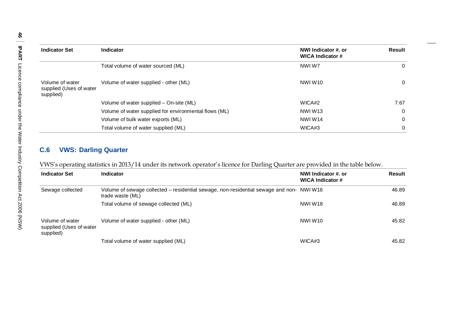| <b>Indicator Set</b>                                    | Indicator                                             | NWI Indicator #. or<br>WICA Indicator # | Result   |
|---------------------------------------------------------|-------------------------------------------------------|-----------------------------------------|----------|
|                                                         | Total volume of water sourced (ML)                    | NWIW7                                   | 0        |
| Volume of water<br>supplied (Uses of water<br>supplied) | Volume of water supplied - other (ML)                 | NWIW <sub>10</sub>                      | 0        |
|                                                         | Volume of water supplied – On-site (ML)               | WICA#2                                  | 7.67     |
|                                                         | Volume of water supplied for environmental flows (ML) | NWIW <sub>13</sub>                      | 0        |
|                                                         | Volume of bulk water exports (ML)                     | NWIW14                                  | $\Omega$ |
|                                                         | Total volume of water supplied (ML)                   | WICA#3                                  | 0        |

### **C.6 VWS: Darling Quarter**

VWS's operating statistics in 2013/14 under its network operator's licence for Darling Quarter are provided in the table below.

| <b>Indicator Set</b>                                    | <b>Indicator</b>                                                                                             | NWI Indicator #. or<br>WICA Indicator # | Result |
|---------------------------------------------------------|--------------------------------------------------------------------------------------------------------------|-----------------------------------------|--------|
| Sewage collected                                        | Volume of sewage collected – residential sewage, non-residential sewage and non- NWI W16<br>trade waste (ML) |                                         | 46.89  |
|                                                         | Total volume of sewage collected (ML)                                                                        | NWIW18                                  | 46.89  |
| Volume of water<br>supplied (Uses of water<br>supplied) | Volume of water supplied - other (ML)                                                                        | NWIW <sub>10</sub>                      | 45.82  |
|                                                         | Total volume of water supplied (ML)                                                                          | WICA#3                                  | 45.82  |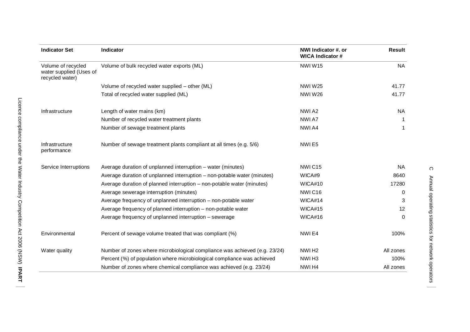| <b>Indicator Set</b>                                             | <b>Indicator</b>                                                           | NWI Indicator #. or<br><b>WICA Indicator #</b> | Result    |
|------------------------------------------------------------------|----------------------------------------------------------------------------|------------------------------------------------|-----------|
| Volume of recycled<br>water supplied (Uses of<br>recycled water) | Volume of bulk recycled water exports (ML)                                 | NWIW15                                         | <b>NA</b> |
|                                                                  | Volume of recycled water supplied - other (ML)                             | <b>NWIW25</b>                                  | 41.77     |
|                                                                  | Total of recycled water supplied (ML)                                      | <b>NWIW26</b>                                  | 41.77     |
| Infrastructure                                                   | Length of water mains (km)                                                 | NWI A2                                         | <b>NA</b> |
|                                                                  | Number of recycled water treatment plants                                  | NWI A7                                         |           |
|                                                                  | Number of sewage treatment plants                                          | NWI A4                                         | 1         |
| Infrastructure<br>performance                                    | Number of sewage treatment plants compliant at all times (e.g. 5/6)        | NWIE5                                          |           |
| Service Interruptions                                            | Average duration of unplanned interruption – water (minutes)               | NWIC <sub>15</sub>                             | <b>NA</b> |
|                                                                  | Average duration of unplanned interruption – non-potable water (minutes)   | WICA#9                                         | 8640      |
|                                                                  | Average duration of planned interruption – non-potable water (minutes)     | WICA#10                                        | 17280     |
|                                                                  | Average sewerage interruption (minutes)                                    | <b>NWIC16</b>                                  | $\Omega$  |
|                                                                  | Average frequency of unplanned interruption – non-potable water            | WICA#14                                        | 3         |
|                                                                  | Average frequency of planned interruption - non-potable water              | WICA#15                                        | 12        |
|                                                                  | Average frequency of unplanned interruption - sewerage                     | WICA#16                                        | $\Omega$  |
| Environmental                                                    | Percent of sewage volume treated that was compliant (%)                    | NWIE4                                          | 100%      |
| Water quality                                                    | Number of zones where microbiological compliance was achieved (e.g. 23/24) | NWI <sub>H2</sub>                              | All zones |
|                                                                  | Percent (%) of population where microbiological compliance was achieved    | NWI <sub>H3</sub>                              | 100%      |
|                                                                  | Number of zones where chemical compliance was achieved (e.g. 23/24)        | NWI H4                                         | All zones |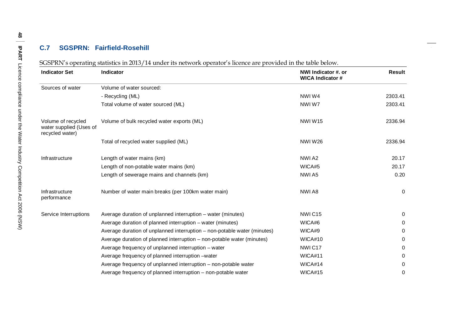### **C.7 SGSPRN: Fairfield-Rosehill**

|  |  |  |  | SGSPRN's operating statistics in 2013/14 under its network operator's licence are provided in the table below. |  |
|--|--|--|--|----------------------------------------------------------------------------------------------------------------|--|
|  |  |  |  |                                                                                                                |  |

| <b>Indicator Set</b>                                             | Indicator                                                                | NWI Indicator #. or<br><b>WICA Indicator #</b> | Result      |
|------------------------------------------------------------------|--------------------------------------------------------------------------|------------------------------------------------|-------------|
| Sources of water                                                 | Volume of water sourced:                                                 |                                                |             |
|                                                                  | - Recycling (ML)                                                         | NWIW4                                          | 2303.41     |
|                                                                  | Total volume of water sourced (ML)                                       | NWIW7                                          | 2303.41     |
| Volume of recycled<br>water supplied (Uses of<br>recycled water) | Volume of bulk recycled water exports (ML)                               | NWIW15                                         | 2336.94     |
|                                                                  | Total of recycled water supplied (ML)                                    | <b>NWIW26</b>                                  | 2336.94     |
| Infrastructure                                                   | Length of water mains (km)                                               | NWI A2                                         | 20.17       |
|                                                                  | Length of non-potable water mains (km)                                   | WICA#5                                         | 20.17       |
|                                                                  | Length of sewerage mains and channels (km)                               | NWI A5                                         | 0.20        |
| Infrastructure<br>performance                                    | Number of water main breaks (per 100km water main)                       | NWI A8                                         | $\mathbf 0$ |
| Service Interruptions                                            | Average duration of unplanned interruption - water (minutes)             | NWIC <sub>15</sub>                             | 0           |
|                                                                  | Average duration of planned interruption – water (minutes)               | WICA#6                                         | 0           |
|                                                                  | Average duration of unplanned interruption – non-potable water (minutes) | WICA#9                                         | 0           |
|                                                                  | Average duration of planned interruption – non-potable water (minutes)   | WICA#10                                        | 0           |
|                                                                  | Average frequency of unplanned interruption - water                      | NWIC17                                         | 0           |
|                                                                  | Average frequency of planned interruption -water                         | WICA#11                                        | 0           |
|                                                                  | Average frequency of unplanned interruption – non-potable water          | WICA#14                                        | 0           |
|                                                                  | Average frequency of planned interruption - non-potable water            | WICA#15                                        | 0           |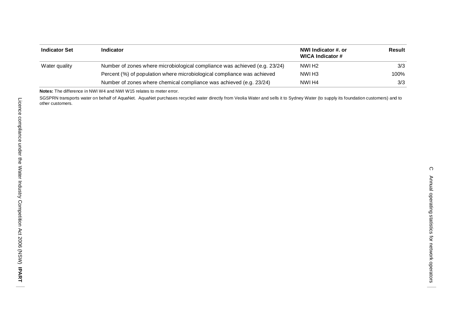| <b>Indicator Set</b> | <b>Indicator</b>                                                           | NWI Indicator #. or<br>WICA Indicator # | Result |
|----------------------|----------------------------------------------------------------------------|-----------------------------------------|--------|
| Water quality        | Number of zones where microbiological compliance was achieved (e.g. 23/24) | NWI H <sub>2</sub>                      | 3/3    |
|                      | Percent (%) of population where microbiological compliance was achieved    | NWI H <sub>3</sub>                      | 100%   |
|                      | Number of zones where chemical compliance was achieved (e.g. 23/24)        | NWI H4                                  | 3/3    |

**Notes:** The difference in NWI W4 and NWI W15 relates to meter error.

SGSPRN transports water on behalf of AquaNet. AquaNet purchases recycled water directly from Veolia Water and sells it to Sydney Water (to supply its foundation customers) and to other customers.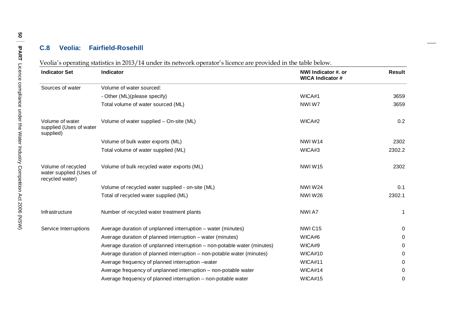#### **C.8 Veolia : Fairfield -Rosehill**

Veolia's operating statistics in 2013/14 under its network operator's licence are provided in the table below.

| <b>Indicator Set</b>                                             | <b>Indicator</b>                                                         | NWI Indicator #. or<br><b>WICA Indicator #</b> | <b>Result</b> |
|------------------------------------------------------------------|--------------------------------------------------------------------------|------------------------------------------------|---------------|
| Sources of water                                                 | Volume of water sourced:                                                 |                                                |               |
|                                                                  | - Other (ML)(please specify)                                             | WICA#1                                         | 3659          |
|                                                                  | Total volume of water sourced (ML)                                       | NWIW7                                          | 3659          |
| Volume of water<br>supplied (Uses of water<br>supplied)          | Volume of water supplied - On-site (ML)                                  | WICA#2                                         | 0.2           |
|                                                                  | Volume of bulk water exports (ML)                                        | NWIW14                                         | 2302          |
|                                                                  | Total volume of water supplied (ML)                                      | WICA#3                                         | 2302.2        |
| Volume of recycled<br>water supplied (Uses of<br>recycled water) | Volume of bulk recycled water exports (ML)                               | NWIW15                                         | 2302          |
|                                                                  | Volume of recycled water supplied - on-site (ML)                         | <b>NWIW24</b>                                  | 0.1           |
|                                                                  | Total of recycled water supplied (ML)                                    | <b>NWIW26</b>                                  | 2302.1        |
| Infrastructure                                                   | Number of recycled water treatment plants                                | NWI A7                                         | 1             |
| Service Interruptions                                            | Average duration of unplanned interruption – water (minutes)             | NWIC15                                         | 0             |
|                                                                  | Average duration of planned interruption – water (minutes)               | WICA#6                                         | 0             |
|                                                                  | Average duration of unplanned interruption – non-potable water (minutes) | WICA#9                                         | 0             |
|                                                                  | Average duration of planned interruption - non-potable water (minutes)   | WICA#10                                        | 0             |
|                                                                  | Average frequency of planned interruption – water                        | WICA#11                                        | 0             |
|                                                                  | Average frequency of unplanned interruption – non-potable water          | WICA#14                                        | 0             |
|                                                                  | Average frequency of planned interruption – non-potable water            | WICA#15                                        | 0             |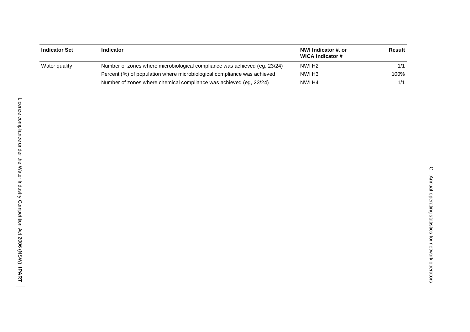| <b>Indicator Set</b> | Indicator                                                                 | NWI Indicator #. or<br>WICA Indicator # | Result |
|----------------------|---------------------------------------------------------------------------|-----------------------------------------|--------|
| Water quality        | Number of zones where microbiological compliance was achieved (eg, 23/24) | NWI H <sub>2</sub>                      | 1/1    |
|                      | Percent (%) of population where microbiological compliance was achieved   | NWI H3                                  | 100%   |
|                      | Number of zones where chemical compliance was achieved (eg. 23/24)        | NWI H4                                  | 1/1    |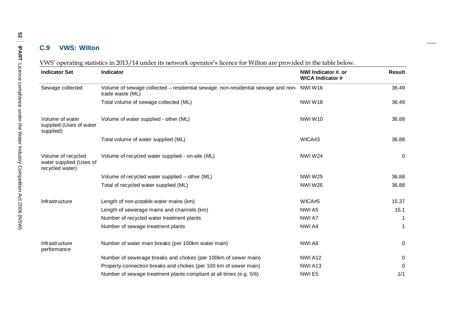### **C.9 VWS: Wilton**

| <b>Indicator Set</b>                                             | Indicator                                                                                                    | NWI Indicator #. or<br><b>WICA Indicator #</b> | <b>Result</b> |
|------------------------------------------------------------------|--------------------------------------------------------------------------------------------------------------|------------------------------------------------|---------------|
| Sewage collected                                                 | Volume of sewage collected - residential sewage, non-residential sewage and non- NWI W16<br>trade waste (ML) |                                                | 36.49         |
|                                                                  | Total volume of sewage collected (ML)                                                                        | NWIW18                                         | 36.49         |
| Volume of water<br>supplied (Uses of water<br>supplied)          | Volume of water supplied - other (ML)                                                                        | <b>NWIW10</b>                                  | 36.88         |
|                                                                  | Total volume of water supplied (ML)                                                                          | WICA#3                                         | 36.88         |
| Volume of recycled<br>water supplied (Uses of<br>recycled water) | Volume of recycled water supplied - on-site (ML)                                                             | <b>NWIW24</b>                                  | $\mathbf 0$   |
|                                                                  | Volume of recycled water supplied - other (ML)                                                               | <b>NWIW25</b>                                  | 36.88         |
|                                                                  | Total of recycled water supplied (ML)                                                                        | <b>NWIW26</b>                                  | 36.88         |
| Infrastructure                                                   | Length of non-potable water mains (km)                                                                       | WICA#5                                         | 15.37         |
|                                                                  | Length of sewerage mains and channels (km)                                                                   | NWI A5                                         | 15.1          |
|                                                                  | Number of recycled water treatment plants                                                                    | NWI A7                                         |               |
|                                                                  | Number of sewage treatment plants                                                                            | NWI A4                                         | -1            |
| Infrastructure<br>performance                                    | Number of water main breaks (per 100km water main)                                                           | NWI A8                                         | $\mathbf 0$   |
|                                                                  | Number of sewerage breaks and chokes (per 100km of sewer main)                                               | NWIA <sub>12</sub>                             | $\mathbf 0$   |
|                                                                  | Property connection breaks and chokes (per 100 km of sewer main)                                             | NWIA <sub>13</sub>                             | $\mathbf{0}$  |
|                                                                  | Number of sewage treatment plants compliant at all times (e.g. 5/6)                                          | NWIE <sub>5</sub>                              | 1/1           |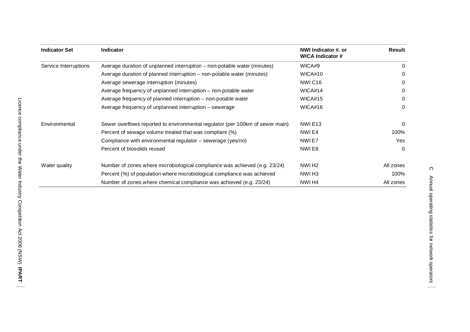| <b>Indicator Set</b>  | <b>Indicator</b>                                                              | NWI Indicator #. or<br><b>WICA Indicator #</b> | Result    |
|-----------------------|-------------------------------------------------------------------------------|------------------------------------------------|-----------|
| Service Interruptions | Average duration of unplanned interruption – non-potable water (minutes)      | WICA#9                                         | 0         |
|                       | Average duration of planned interruption – non-potable water (minutes)        | WICA#10                                        | $\Omega$  |
|                       | Average sewerage interruption (minutes)                                       | NWIC16                                         | $\Omega$  |
|                       | Average frequency of unplanned interruption – non-potable water               | WICA#14                                        | $\Omega$  |
|                       | Average frequency of planned interruption – non-potable water                 | WICA#15                                        | $\Omega$  |
|                       | Average frequency of unplanned interruption - sewerage                        | WICA#16                                        | $\Omega$  |
| Environmental         | Sewer overflows reported to environmental regulator (per 100km of sewer main) | NWIE <sub>13</sub>                             | 0         |
|                       | Percent of sewage volume treated that was compliant (%)                       | NWI E4                                         | 100%      |
|                       | Compliance with environmental regulator - sewerage (yes/no)                   | NWIE7                                          | Yes       |
|                       | Percent of biosolids reused                                                   | NWI E8                                         | $\Omega$  |
| Water quality         | Number of zones where microbiological compliance was achieved (e.g. 23/24)    | NWI H <sub>2</sub>                             | All zones |
|                       | Percent (%) of population where microbiological compliance was achieved       | NWI H <sub>3</sub>                             | 100%      |
|                       | Number of zones where chemical compliance was achieved (e.g. 23/24)           | NWI H4                                         | All zones |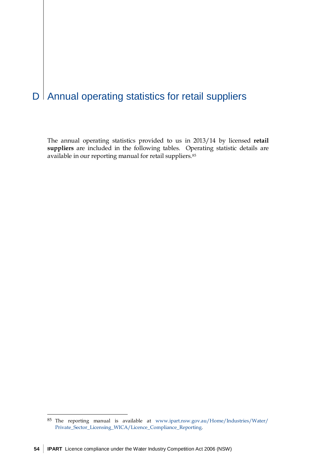# $D$  | Annual operating statistics for retail suppliers

The annual operating statistics provided to us in 2013/14 by licensed **retail suppliers** are included in the following tables. Operating statistic details are available in our reporting manual for retail suppliers.[85](#page-59-0)

 $\overline{a}$ 

<span id="page-59-0"></span><sup>85</sup> The reporting manual is available at [www.ipart.nsw.gov.au/Home/Industries/Water/](http://www.ipart.nsw.gov.au/Home/Industries/Water/Private_Sector_Licensing_WICA/Licence_Compliance_Reporting) [Private\\_Sector\\_Licensing\\_WICA/Licence\\_Compliance\\_Reporting.](http://www.ipart.nsw.gov.au/Home/Industries/Water/Private_Sector_Licensing_WICA/Licence_Compliance_Reporting)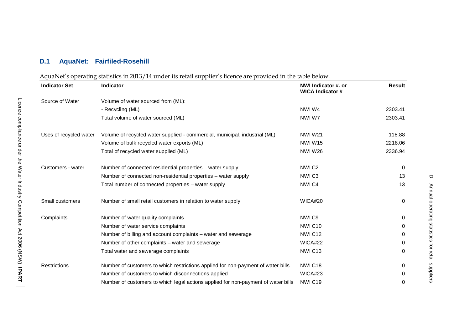### **D.1 AquaNet: Fairfiled-Rosehill**

#### AquaNet's operating statistics in 2013/14 under its retail supplier's licence are provided in the table below.

| <b>Indicator Set</b>   | <b>Indicator</b>                                                                  | NWI Indicator #. or<br><b>WICA Indicator #</b> | Result       |
|------------------------|-----------------------------------------------------------------------------------|------------------------------------------------|--------------|
| Source of Water        | Volume of water sourced from (ML):                                                |                                                |              |
|                        | - Recycling (ML)                                                                  | NWIW4                                          | 2303.41      |
|                        | Total volume of water sourced (ML)                                                | NWIW7                                          | 2303.41      |
| Uses of recycled water | Volume of recycled water supplied - commercial, municipal, industrial (ML)        | <b>NWIW21</b>                                  | 118.88       |
|                        | Volume of bulk recycled water exports (ML)                                        | <b>NWIW15</b>                                  | 2218.06      |
|                        | Total of recycled water supplied (ML)                                             | <b>NWIW26</b>                                  | 2336.94      |
| Customers - water      | Number of connected residential properties - water supply                         | NWIC <sub>2</sub>                              | $\Omega$     |
|                        | Number of connected non-residential properties - water supply                     | NWIC <sub>3</sub>                              | 13           |
|                        | Total number of connected properties - water supply                               | NWIC4                                          | 13           |
| Small customers        | Number of small retail customers in relation to water supply                      | WICA#20                                        | $\mathbf{0}$ |
| Complaints             | Number of water quality complaints                                                | NWI <sub>C9</sub>                              | $\mathbf{0}$ |
|                        | Number of water service complaints                                                | NWIC10                                         | $\Omega$     |
|                        | Number of billing and account complaints – water and sewerage                     | NWIC <sub>12</sub>                             | $\Omega$     |
|                        | Number of other complaints – water and sewerage                                   | WICA#22                                        | 0            |
|                        | Total water and sewerage complaints                                               | NWIC <sub>13</sub>                             | $\Omega$     |
| <b>Restrictions</b>    | Number of customers to which restrictions applied for non-payment of water bills  | NWIC18                                         | 0            |
|                        | Number of customers to which disconnections applied                               | WICA#23                                        | $\Omega$     |
|                        | Number of customers to which legal actions applied for non-payment of water bills | NWIC <sub>19</sub>                             | 0            |

 $\Box$ 

Annual operating statistics for retail suppliers

Annual operating statistics for retail suppliers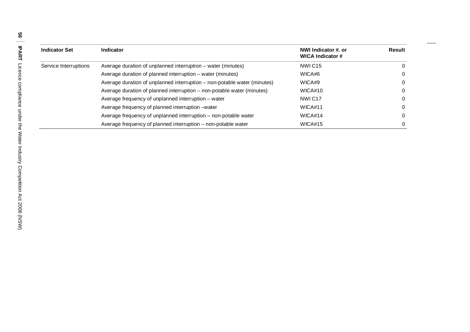| <b>Indicator Set</b>  | Indicator                                                                | NWI Indicator #. or<br><b>WICA Indicator #</b> | Result |
|-----------------------|--------------------------------------------------------------------------|------------------------------------------------|--------|
| Service Interruptions | Average duration of unplanned interruption – water (minutes)             | NWIC <sub>15</sub>                             |        |
|                       | Average duration of planned interruption – water (minutes)               | WICA#6                                         |        |
|                       | Average duration of unplanned interruption – non-potable water (minutes) | WICA#9                                         |        |
|                       | Average duration of planned interruption – non-potable water (minutes)   | WICA#10                                        |        |
|                       | Average frequency of unplanned interruption – water                      | NWIC <sub>17</sub>                             |        |
|                       | Average frequency of planned interruption -water                         | WICA#11                                        |        |
|                       | Average frequency of unplanned interruption – non-potable water          | WICA#14                                        |        |
|                       | Average frequency of planned interruption - non-potable water            | WICA#15                                        |        |

 $\overline{\phantom{a}}$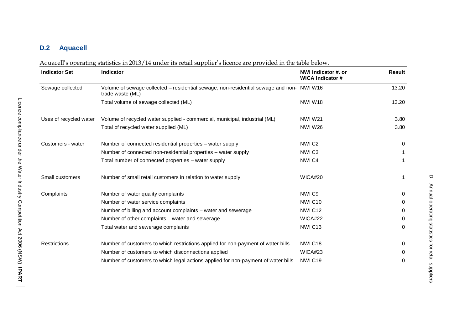# **D.2 Aquacell**

| Aquacell's operating statistics in 2013/14 under its retail supplier's licence are provided in the table below. |  |
|-----------------------------------------------------------------------------------------------------------------|--|
|-----------------------------------------------------------------------------------------------------------------|--|

| <b>Indicator Set</b>   | Indicator                                                                                                    | NWI Indicator #. or<br><b>WICA Indicator #</b> | <b>Result</b> |
|------------------------|--------------------------------------------------------------------------------------------------------------|------------------------------------------------|---------------|
| Sewage collected       | Volume of sewage collected - residential sewage, non-residential sewage and non- NWI W16<br>trade waste (ML) |                                                | 13.20         |
|                        | Total volume of sewage collected (ML)                                                                        | <b>NWIW18</b>                                  | 13.20         |
| Uses of recycled water | Volume of recycled water supplied - commercial, municipal, industrial (ML)                                   | <b>NWIW21</b>                                  | 3.80          |
|                        | Total of recycled water supplied (ML)                                                                        | <b>NWIW26</b>                                  | 3.80          |
| Customers - water      | Number of connected residential properties - water supply                                                    | NWIC <sub>2</sub>                              | 0             |
|                        | Number of connected non-residential properties - water supply                                                | NWIC <sub>3</sub>                              |               |
|                        | Total number of connected properties - water supply                                                          | NWI <sub>C4</sub>                              |               |
| Small customers        | Number of small retail customers in relation to water supply                                                 | WICA#20                                        |               |
| Complaints             | Number of water quality complaints                                                                           | NWI <sub>C9</sub>                              | 0             |
|                        | Number of water service complaints                                                                           | NWIC <sub>10</sub>                             | 0             |
|                        | Number of billing and account complaints – water and sewerage                                                | NWIC <sub>12</sub>                             | 0             |
|                        | Number of other complaints – water and sewerage                                                              | WICA#22                                        | 0             |
|                        | Total water and sewerage complaints                                                                          | NWIC <sub>13</sub>                             | $\Omega$      |
| Restrictions           | Number of customers to which restrictions applied for non-payment of water bills                             | NWIC18                                         | 0             |
|                        | Number of customers to which disconnections applied                                                          | WICA#23                                        | 0             |
|                        | Number of customers to which legal actions applied for non-payment of water bills                            | NWIC19                                         | 0             |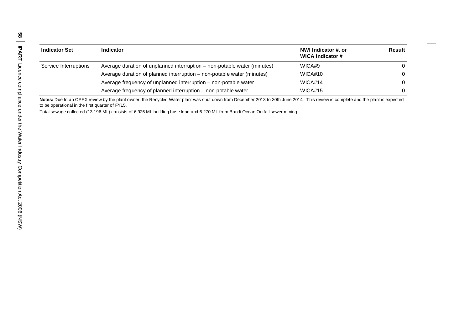| <b>Indicator Set</b>  | <b>Indicator</b>                                                         | NWI Indicator #. or<br><b>WICA Indicator #</b> | Result   |
|-----------------------|--------------------------------------------------------------------------|------------------------------------------------|----------|
| Service Interruptions | Average duration of unplanned interruption - non-potable water (minutes) | WICA#9                                         | $\Omega$ |
|                       | Average duration of planned interruption – non-potable water (minutes)   | WICA#10                                        |          |
|                       | Average frequency of unplanned interruption - non-potable water          | WICA#14                                        | $\Omega$ |
|                       | Average frequency of planned interruption – non-potable water            | WICA#15                                        |          |

**Notes:** Due to an OPEX review by the plant owner, the Recycled Water plant was shut down from December 2013 to 30th June 2014. This review is complete and the plant is expected to be operational in the first quarter of FY15.

Total sewage collected (13.196 ML) consists of 6.926 ML building base load and 6.270 ML from Bondi Ocean Outfall sewer mining.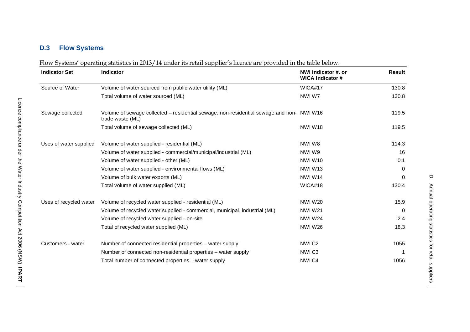## **D.3 Flow Systems**

|  | Flow Systems' operating statistics in 2013/14 under its retail supplier's licence are provided in the table below. |  |
|--|--------------------------------------------------------------------------------------------------------------------|--|
|  |                                                                                                                    |  |

| <b>Indicator Set</b>   | Indicator                                                                                                    | NWI Indicator #. or<br><b>WICA Indicator #</b> | <b>Result</b> |
|------------------------|--------------------------------------------------------------------------------------------------------------|------------------------------------------------|---------------|
| Source of Water        | Volume of water sourced from public water utility (ML)                                                       | WICA#17                                        | 130.8         |
|                        | Total volume of water sourced (ML)                                                                           | NWIW7                                          | 130.8         |
| Sewage collected       | Volume of sewage collected - residential sewage, non-residential sewage and non- NWI W16<br>trade waste (ML) |                                                | 119.5         |
|                        | Total volume of sewage collected (ML)                                                                        | NWIW18                                         | 119.5         |
| Uses of water supplied | Volume of water supplied - residential (ML)                                                                  | NWIW8                                          | 114.3         |
|                        | Volume of water supplied - commercial/municipal/industrial (ML)                                              | NWIW9                                          | 16            |
|                        | Volume of water supplied - other (ML)                                                                        | NWIW10                                         | 0.1           |
|                        | Volume of water supplied - environmental flows (ML)                                                          | <b>NWIW13</b>                                  | 0             |
|                        | Volume of bulk water exports (ML)                                                                            | NWIW14                                         | $\Omega$      |
|                        | Total volume of water supplied (ML)                                                                          | WICA#18                                        | 130.4         |
| Uses of recycled water | Volume of recycled water supplied - residential (ML)                                                         | <b>NWIW20</b>                                  | 15.9          |
|                        | Volume of recycled water supplied - commercial, municipal, industrial (ML)                                   | <b>NWIW21</b>                                  | 0             |
|                        | Volume of recycled water supplied - on-site                                                                  | <b>NWIW24</b>                                  | 2.4           |
|                        | Total of recycled water supplied (ML)                                                                        | <b>NWIW26</b>                                  | 18.3          |
| Customers - water      | Number of connected residential properties – water supply                                                    | NWIC2                                          | 1055          |
|                        | Number of connected non-residential properties – water supply                                                | NWIC <sub>3</sub>                              |               |
|                        | Total number of connected properties - water supply                                                          | NWI <sub>C4</sub>                              | 1056          |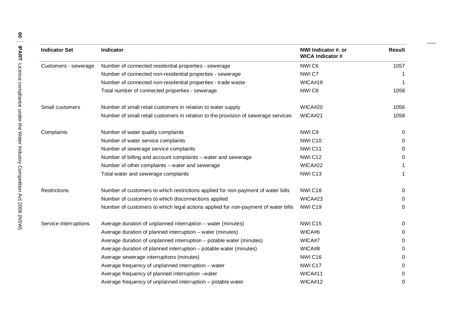| <b>Indicator Set</b>  | Indicator                                                                          | NWI Indicator #. or<br><b>WICA Indicator #</b> | <b>Result</b> |
|-----------------------|------------------------------------------------------------------------------------|------------------------------------------------|---------------|
| Customers - sewerage  | Number of connected residential properties - sewerage                              | NWIC6                                          | 1057          |
|                       | Number of connected non-residential properties - sewerage                          | NWIC7                                          |               |
|                       | Number of connected non-residential properties - trade waste                       | WICA#19                                        |               |
|                       | Total number of connected properties - sewerage                                    | NWIC8                                          | 1058          |
| Small customers       | Number of small retail customers in relation to water supply                       | WICA#20                                        | 1056          |
|                       | Number of small retail customers in relation to the provision of sewerage services | WICA#21                                        | 1058          |
| Complaints            | Number of water quality complaints                                                 | NWI <sub>C9</sub>                              | 0             |
|                       | Number of water service complaints                                                 | NWIC <sub>10</sub>                             | 0             |
|                       | Number of sewerage service complaints                                              | NWIC11                                         | 0             |
|                       | Number of billing and account complaints - water and sewerage                      | NWIC12                                         | 0             |
|                       | Number of other complaints – water and sewerage                                    | WICA#22                                        | 1             |
|                       | Total water and sewerage complaints                                                | NWIC <sub>13</sub>                             | 1             |
| Restrictions          | Number of customers to which restrictions applied for non-payment of water bills   | NWIC18                                         | 0             |
|                       | Number of customers to which disconnections applied                                | WICA#23                                        | 0             |
|                       | Number of customers to which legal actions applied for non-payment of water bills  | NWIC19                                         | 0             |
| Service Interruptions | Average duration of unplanned interruption – water (minutes)                       | NWIC15                                         | 0             |
|                       | Average duration of planned interruption - water (minutes)                         | WICA#6                                         | 0             |
|                       | Average duration of unplanned interruption - potable water (minutes)               | WICA#7                                         | 0             |
|                       | Average duration of planned interruption - potable water (minutes)                 | WICA#8                                         | 0             |
|                       | Average sewerage interruptions (minutes)                                           | NWIC16                                         | 0             |
|                       | Average frequency of unplanned interruption - water                                | NWIC17                                         | 0             |
|                       | Average frequency of planned interruption -water                                   | WICA#11                                        | 0             |
|                       | Average frequency of unplanned interruption - potable water                        | WICA#12                                        | 0             |

 $\hspace{0.05cm}$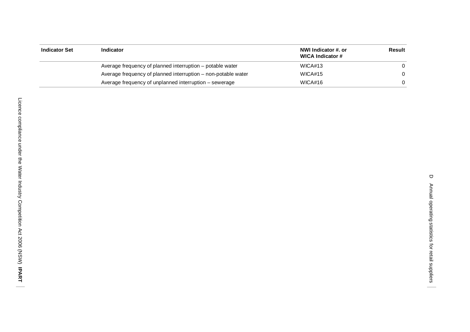| Indicator Set | Indicator                                                     | NWI Indicator #. or<br>WICA Indicator # | Result |
|---------------|---------------------------------------------------------------|-----------------------------------------|--------|
|               | Average frequency of planned interruption – potable water     | WICA#13                                 |        |
|               | Average frequency of planned interruption – non-potable water | WICA#15                                 |        |
|               | Average frequency of unplanned interruption – sewerage        | WICA#16                                 |        |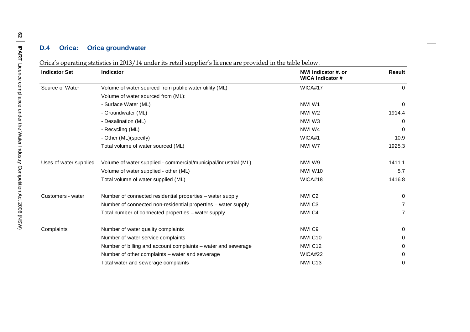#### **D.4 Orica : Orica groundwater**

Orica's operating statistics in 2013/14 under its retail supplier's licence are provided in the table below.

| <b>Indicator Set</b>   | Indicator                                                       | NWI Indicator #. or<br><b>WICA Indicator #</b> | <b>Result</b> |
|------------------------|-----------------------------------------------------------------|------------------------------------------------|---------------|
| Source of Water        | Volume of water sourced from public water utility (ML)          | WICA#17                                        | $\Omega$      |
|                        | Volume of water sourced from (ML):                              |                                                |               |
|                        | - Surface Water (ML)                                            | NWIW1                                          | 0             |
|                        | - Groundwater (ML)                                              | NWIW <sub>2</sub>                              | 1914.4        |
|                        | - Desalination (ML)                                             | NWIW3                                          | 0             |
|                        | - Recycling (ML)                                                | NWIW4                                          | 0             |
|                        | - Other (ML)(specify)                                           | WICA#1                                         | 10.9          |
|                        | Total volume of water sourced (ML)                              | NWIW7                                          | 1925.3        |
| Uses of water supplied | Volume of water supplied - commercial/municipal/industrial (ML) | NWIW9                                          | 1411.1        |
|                        | Volume of water supplied - other (ML)                           | NWIW10                                         | 5.7           |
|                        | Total volume of water supplied (ML)                             | WICA#18                                        | 1416.8        |
| Customers - water      | Number of connected residential properties - water supply       | NWIC <sub>2</sub>                              | 0             |
|                        | Number of connected non-residential properties - water supply   | NWIC <sub>3</sub>                              | 7             |
|                        | Total number of connected properties - water supply             | NWI <sub>C4</sub>                              | 7             |
| Complaints             | Number of water quality complaints                              | NWI <sub>C9</sub>                              | 0             |
|                        | Number of water service complaints                              | NWIC <sub>10</sub>                             | 0             |
|                        | Number of billing and account complaints – water and sewerage   | NWIC12                                         | 0             |
|                        | Number of other complaints – water and sewerage                 | WICA#22                                        | 0             |
|                        | Total water and sewerage complaints                             | NWIC <sub>13</sub>                             | 0             |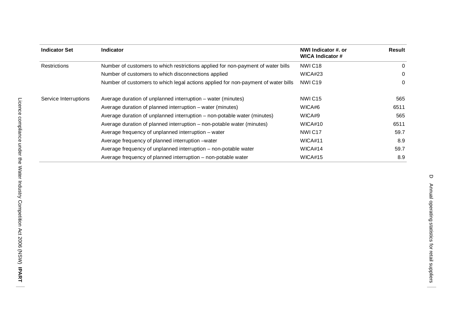| <b>Indicator Set</b>  | <b>Indicator</b>                                                                  | NWI Indicator #. or<br><b>WICA Indicator #</b> | Result   |
|-----------------------|-----------------------------------------------------------------------------------|------------------------------------------------|----------|
| <b>Restrictions</b>   | Number of customers to which restrictions applied for non-payment of water bills  | NWIC <sub>18</sub>                             | 0        |
|                       | Number of customers to which disconnections applied                               | WICA#23                                        | $\Omega$ |
|                       | Number of customers to which legal actions applied for non-payment of water bills | NWIC <sub>19</sub>                             | 0        |
| Service Interruptions | Average duration of unplanned interruption – water (minutes)                      | NWIC <sub>15</sub>                             | 565      |
|                       | Average duration of planned interruption – water (minutes)                        | WICA#6                                         | 6511     |
|                       | Average duration of unplanned interruption – non-potable water (minutes)          | WICA#9                                         | 565      |
|                       | Average duration of planned interruption – non-potable water (minutes)            | WICA#10                                        | 6511     |
|                       | Average frequency of unplanned interruption – water                               | NWIC <sub>17</sub>                             | 59.7     |
|                       | Average frequency of planned interruption – water                                 | WICA#11                                        | 8.9      |
|                       | Average frequency of unplanned interruption – non-potable water                   | WICA#14                                        | 59.7     |
|                       | Average frequency of planned interruption – non-potable water                     | WICA#15                                        | 8.9      |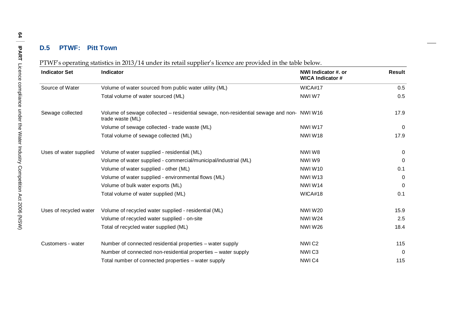#### **D.5 PTWF : Pitt Town**

|  | PTWF's operating statistics in 2013/14 under its retail supplier's licence are provided in the table below. |  |
|--|-------------------------------------------------------------------------------------------------------------|--|
|  |                                                                                                             |  |

| <b>Indicator Set</b>   | <b>Indicator</b>                                                                                             | NWI Indicator #. or<br><b>WICA Indicator #</b> | Result   |
|------------------------|--------------------------------------------------------------------------------------------------------------|------------------------------------------------|----------|
| Source of Water        | Volume of water sourced from public water utility (ML)                                                       | WICA#17                                        | 0.5      |
|                        | Total volume of water sourced (ML)                                                                           | NWIW7                                          | 0.5      |
| Sewage collected       | Volume of sewage collected – residential sewage, non-residential sewage and non- NWI W16<br>trade waste (ML) |                                                | 17.9     |
|                        | Volume of sewage collected - trade waste (ML)                                                                | NWIW17                                         | 0        |
|                        | Total volume of sewage collected (ML)                                                                        | <b>NWIW18</b>                                  | 17.9     |
| Uses of water supplied | Volume of water supplied - residential (ML)                                                                  | NWIW8                                          | $\Omega$ |
|                        | Volume of water supplied - commercial/municipal/industrial (ML)                                              | NWIW9                                          | $\Omega$ |
|                        | Volume of water supplied - other (ML)                                                                        | <b>NWIW10</b>                                  | 0.1      |
|                        | Volume of water supplied - environmental flows (ML)                                                          | NWIW <sub>13</sub>                             | $\Omega$ |
|                        | Volume of bulk water exports (ML)                                                                            | NWIW14                                         | 0        |
|                        | Total volume of water supplied (ML)                                                                          | WICA#18                                        | 0.1      |
| Uses of recycled water | Volume of recycled water supplied - residential (ML)                                                         | <b>NWIW20</b>                                  | 15.9     |
|                        | Volume of recycled water supplied - on-site                                                                  | <b>NWIW24</b>                                  | 2.5      |
|                        | Total of recycled water supplied (ML)                                                                        | <b>NWIW26</b>                                  | 18.4     |
| Customers - water      | Number of connected residential properties - water supply                                                    | NWIC <sub>2</sub>                              | 115      |
|                        | Number of connected non-residential properties – water supply                                                | NWIC <sub>3</sub>                              | 0        |
|                        | Total number of connected properties - water supply                                                          | NWI <sub>C4</sub>                              | 115      |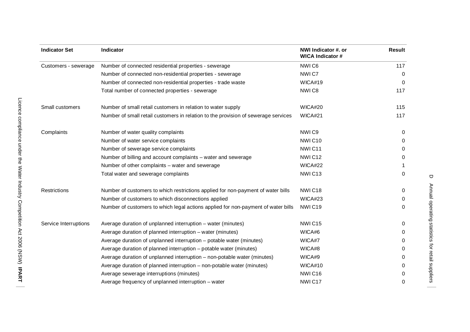| <b>Indicator Set</b>  | Indicator                                                                          | NWI Indicator #. or<br><b>WICA Indicator #</b> | <b>Result</b> |
|-----------------------|------------------------------------------------------------------------------------|------------------------------------------------|---------------|
| Customers - sewerage  | Number of connected residential properties - sewerage                              | NWIC6                                          | 117           |
|                       | Number of connected non-residential properties - sewerage                          | NWIC7                                          | 0             |
|                       | Number of connected non-residential properties - trade waste                       | WICA#19                                        | 0             |
|                       | Total number of connected properties - sewerage                                    | NWIC8                                          | 117           |
| Small customers       | Number of small retail customers in relation to water supply                       | WICA#20                                        | 115           |
|                       | Number of small retail customers in relation to the provision of sewerage services | WICA#21                                        | 117           |
| Complaints            | Number of water quality complaints                                                 | NWI <sub>C9</sub>                              | 0             |
|                       | Number of water service complaints                                                 | NWIC10                                         | 0             |
|                       | Number of sewerage service complaints                                              | NWIC <sub>11</sub>                             | 0             |
|                       | Number of billing and account complaints - water and sewerage                      | NWIC <sub>12</sub>                             | 0             |
|                       | Number of other complaints - water and sewerage                                    | WICA#22                                        |               |
|                       | Total water and sewerage complaints                                                | NWIC13                                         | 0             |
| <b>Restrictions</b>   | Number of customers to which restrictions applied for non-payment of water bills   | NWIC18                                         | 0             |
|                       | Number of customers to which disconnections applied                                | WICA#23                                        | 0             |
|                       | Number of customers to which legal actions applied for non-payment of water bills  | NWIC19                                         | $\Omega$      |
| Service Interruptions | Average duration of unplanned interruption - water (minutes)                       | NWIC15                                         | 0             |
|                       | Average duration of planned interruption - water (minutes)                         | WICA#6                                         | 0             |
|                       | Average duration of unplanned interruption - potable water (minutes)               | WICA#7                                         | 0             |
|                       | Average duration of planned interruption - potable water (minutes)                 | WICA#8                                         | 0             |
|                       | Average duration of unplanned interruption - non-potable water (minutes)           | WICA#9                                         | 0             |
|                       | Average duration of planned interruption - non-potable water (minutes)             | WICA#10                                        | 0             |
|                       | Average sewerage interruptions (minutes)                                           | NWIC16                                         | 0             |
|                       | Average frequency of unplanned interruption - water                                | NWIC17                                         | 0             |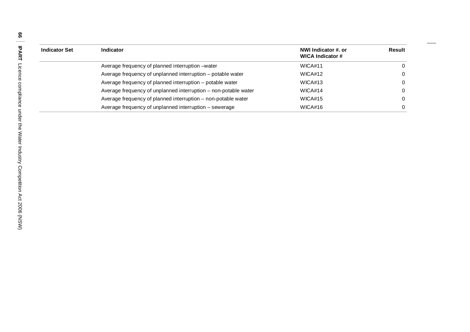| <b>Indicator Set</b> | <b>Indicator</b>                                                | NWI Indicator #. or<br>WICA Indicator # | <b>Result</b> |
|----------------------|-----------------------------------------------------------------|-----------------------------------------|---------------|
|                      | Average frequency of planned interruption – water               | WICA#11                                 |               |
|                      | Average frequency of unplanned interruption - potable water     | WICA#12                                 |               |
|                      | Average frequency of planned interruption - potable water       | WICA#13                                 |               |
|                      | Average frequency of unplanned interruption – non-potable water | WICA#14                                 |               |
|                      | Average frequency of planned interruption - non-potable water   | WICA#15                                 |               |
|                      | Average frequency of unplanned interruption - sewerage          | WICA#16                                 |               |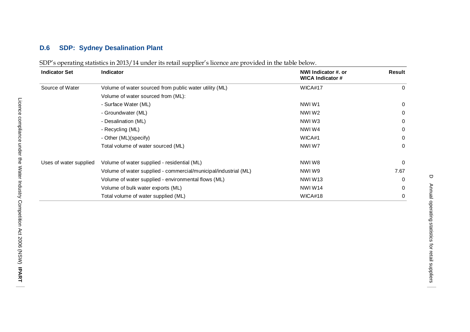## **D.6 SDP : Sydney Desalination Plant**

| <b>Indicator Set</b>   | <b>Indicator</b>                                                | NWI Indicator #. or<br><b>WICA Indicator #</b> | Result       |
|------------------------|-----------------------------------------------------------------|------------------------------------------------|--------------|
| Source of Water        | Volume of water sourced from public water utility (ML)          | WICA#17                                        | $\Omega$     |
|                        | Volume of water sourced from (ML):                              |                                                |              |
|                        | - Surface Water (ML)                                            | NWIW1                                          | 0            |
|                        | - Groundwater (ML)                                              | NWIW <sub>2</sub>                              | $\Omega$     |
|                        | - Desalination (ML)                                             | NWIW3                                          | $\Omega$     |
|                        | - Recycling (ML)                                                | NWIW4                                          | 0            |
|                        | - Other (ML)(specify)                                           | WICA#1                                         | $\Omega$     |
|                        | Total volume of water sourced (ML)                              | NWIW7                                          | $\mathbf{0}$ |
| Uses of water supplied | Volume of water supplied - residential (ML)                     | NWIW8                                          | $\Omega$     |
|                        | Volume of water supplied - commercial/municipal/industrial (ML) | NWIW9                                          | 7.67         |
|                        | Volume of water supplied - environmental flows (ML)             | NWIW <sub>13</sub>                             | $\Omega$     |
|                        | Volume of bulk water exports (ML)                               | NWIW14                                         | $\Omega$     |
|                        | Total volume of water supplied (ML)                             | WICA#18                                        | 0            |

| SDP's operating statistics in 2013/14 under its retail supplier's licence are provided in the table below. |  |
|------------------------------------------------------------------------------------------------------------|--|
|                                                                                                            |  |

 $\Box$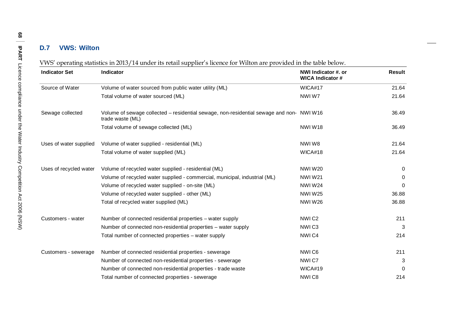## **D.7 VWS : Wilton**

|  | VWS' operating statistics in 2013/14 under its retail supplier's licence for Wilton are provided in the table below. |  |
|--|----------------------------------------------------------------------------------------------------------------------|--|
|  |                                                                                                                      |  |

| <b>Indicator Set</b>   | <b>Indicator</b>                                                                                             | NWI Indicator #. or<br><b>WICA Indicator #</b> | <b>Result</b> |
|------------------------|--------------------------------------------------------------------------------------------------------------|------------------------------------------------|---------------|
| Source of Water        | Volume of water sourced from public water utility (ML)                                                       | WICA#17                                        | 21.64         |
|                        | Total volume of water sourced (ML)                                                                           | NWIW7                                          | 21.64         |
| Sewage collected       | Volume of sewage collected - residential sewage, non-residential sewage and non- NWI W16<br>trade waste (ML) |                                                | 36.49         |
|                        | Total volume of sewage collected (ML)                                                                        | <b>NWIW18</b>                                  | 36.49         |
| Uses of water supplied | Volume of water supplied - residential (ML)                                                                  | NWIW8                                          | 21.64         |
|                        | Total volume of water supplied (ML)                                                                          | WICA#18                                        | 21.64         |
| Uses of recycled water | Volume of recycled water supplied - residential (ML)                                                         | <b>NWIW20</b>                                  | 0             |
|                        | Volume of recycled water supplied - commercial, municipal, industrial (ML)                                   | <b>NWIW21</b>                                  | $\Omega$      |
|                        | Volume of recycled water supplied - on-site (ML)                                                             | <b>NWIW24</b>                                  | 0             |
|                        | Volume of recycled water supplied - other (ML)                                                               | <b>NWIW25</b>                                  | 36.88         |
|                        | Total of recycled water supplied (ML)                                                                        | <b>NWIW26</b>                                  | 36.88         |
| Customers - water      | Number of connected residential properties - water supply                                                    | NWIC <sub>2</sub>                              | 211           |
|                        | Number of connected non-residential properties – water supply                                                | NWIC <sub>3</sub>                              | 3             |
|                        | Total number of connected properties - water supply                                                          | NWIC4                                          | 214           |
| Customers - sewerage   | Number of connected residential properties - sewerage                                                        | NWI <sub>C6</sub>                              | 211           |
|                        | Number of connected non-residential properties - sewerage                                                    | NWIC7                                          | 3             |
|                        | Number of connected non-residential properties - trade waste                                                 | WICA#19                                        | $\Omega$      |
|                        | Total number of connected properties - sewerage                                                              | NWIC8                                          | 214           |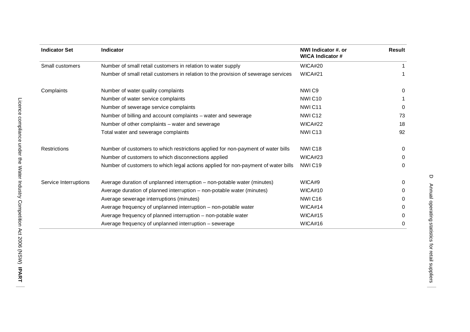| <b>Indicator Set</b>  | Indicator                                                                          | NWI Indicator #. or<br><b>WICA Indicator #</b> | Result |
|-----------------------|------------------------------------------------------------------------------------|------------------------------------------------|--------|
| Small customers       | Number of small retail customers in relation to water supply                       | WICA#20                                        |        |
|                       | Number of small retail customers in relation to the provision of sewerage services | WICA#21                                        |        |
| Complaints            | Number of water quality complaints                                                 | NWI <sub>C9</sub>                              | 0      |
|                       | Number of water service complaints                                                 | NWIC <sub>10</sub>                             |        |
|                       | Number of sewerage service complaints                                              | NWIC <sub>11</sub>                             | 0      |
|                       | Number of billing and account complaints - water and sewerage                      | NWIC <sub>12</sub>                             | 73     |
|                       | Number of other complaints - water and sewerage                                    | WICA#22                                        | 18     |
|                       | Total water and sewerage complaints                                                | NWIC <sub>13</sub>                             | 92     |
| Restrictions          | Number of customers to which restrictions applied for non-payment of water bills   | NWIC <sub>18</sub>                             | 0      |
|                       | Number of customers to which disconnections applied                                | WICA#23                                        | 0      |
|                       | Number of customers to which legal actions applied for non-payment of water bills  | NWIC <sub>19</sub>                             | 0      |
| Service Interruptions | Average duration of unplanned interruption - non-potable water (minutes)           | WICA#9                                         | 0      |
|                       | Average duration of planned interruption - non-potable water (minutes)             | WICA#10                                        | 0      |
|                       | Average sewerage interruptions (minutes)                                           | NWIC16                                         | 0      |
|                       | Average frequency of unplanned interruption - non-potable water                    | WICA#14                                        | 0      |
|                       | Average frequency of planned interruption – non-potable water                      | WICA#15                                        | 0      |
|                       | Average frequency of unplanned interruption - sewerage                             | WICA#16                                        | 0      |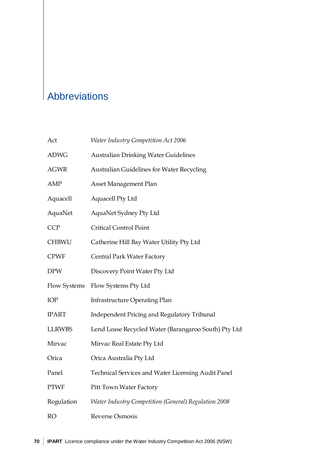## Abbreviations

| Act           | <b>Water Industry Competition Act 2006</b>           |
|---------------|------------------------------------------------------|
| <b>ADWG</b>   | <b>Australian Drinking Water Guidelines</b>          |
| AGWR          | Australian Guidelines for Water Recycling            |
| AMP           | Asset Management Plan                                |
| Aquacell      | Aquacell Pty Ltd                                     |
| AquaNet       | AquaNet Sydney Pty Ltd                               |
| <b>CCP</b>    | <b>Critical Control Point</b>                        |
| <b>CHBWU</b>  | Catherine Hill Bay Water Utility Pty Ltd             |
| <b>CPWF</b>   | Central Park Water Factory                           |
| <b>DPW</b>    | Discovery Point Water Pty Ltd                        |
| Flow Systems  | Flow Systems Pty Ltd                                 |
| IOP           | <b>Infrastructure Operating Plan</b>                 |
| <b>IPART</b>  | <b>Independent Pricing and Regulatory Tribunal</b>   |
| <b>LLRWBS</b> | Lend Lease Recycled Water (Barangaroo South) Pty Ltd |
| Mirvac        | Mirvac Real Estate Pty Ltd                           |
| Orica         | Orica Australia Pty Ltd                              |
| Panel         | Technical Services and Water Licensing Audit Panel   |
| <b>PTWF</b>   | Pitt Town Water Factory                              |
| Regulation    | Water Industry Competition (General) Regulation 2008 |
| <b>RO</b>     | Reverse Osmosis                                      |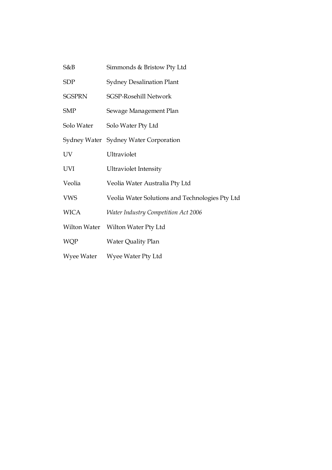| S&B           | Simmonds & Bristow Pty Ltd                      |
|---------------|-------------------------------------------------|
| <b>SDP</b>    | <b>Sydney Desalination Plant</b>                |
| <b>SGSPRN</b> | <b>SGSP-Rosehill Network</b>                    |
| <b>SMP</b>    | Sewage Management Plan                          |
| Solo Water    | Solo Water Pty Ltd                              |
|               | Sydney Water Sydney Water Corporation           |
| UV            | Ultraviolet                                     |
| UVI           | <b>Ultraviolet Intensity</b>                    |
| Veolia        | Veolia Water Australia Pty Ltd                  |
| <b>VWS</b>    | Veolia Water Solutions and Technologies Pty Ltd |
| <b>WICA</b>   | <b>Water Industry Competition Act 2006</b>      |
| Wilton Water  | Wilton Water Pty Ltd                            |
| <b>WQP</b>    | Water Quality Plan                              |
| Wyee Water    | Wyee Water Pty Ltd                              |